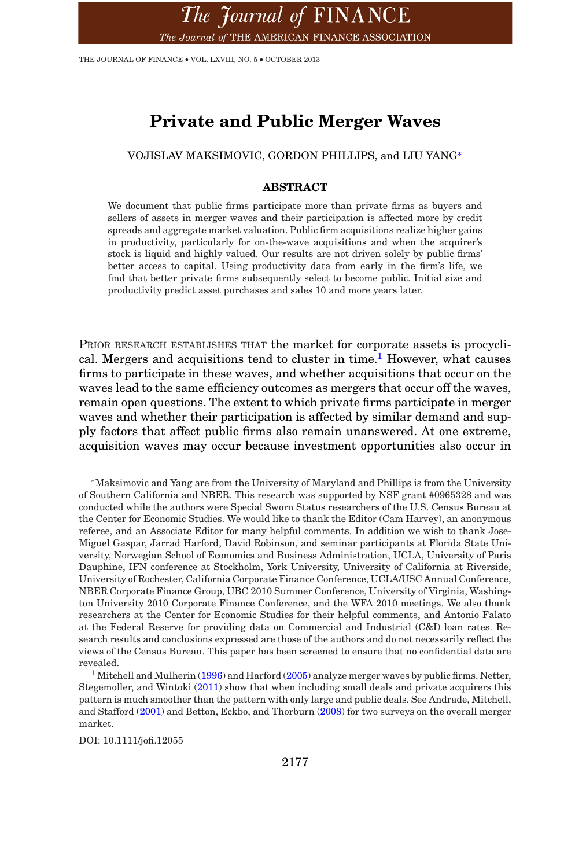THE JOURNAL OF FINANCE • VOL. LXVIII, NO. 5 • OCTOBER 2013

# **Private and Public Merger Waves**

## VOJISLAV MAKSIMOVIC, GORDON PHILLIPS, and LIU YANG[∗](#page-0-0)

#### **ABSTRACT**

We document that public firms participate more than private firms as buyers and sellers of assets in merger waves and their participation is affected more by credit spreads and aggregate market valuation. Public firm acquisitions realize higher gains in productivity, particularly for on-the-wave acquisitions and when the acquirer's stock is liquid and highly valued. Our results are not driven solely by public firms' better access to capital. Using productivity data from early in the firm's life, we find that better private firms subsequently select to become public. Initial size and productivity predict asset purchases and sales 10 and more years later.

PRIOR RESEARCH ESTABLISHES THAT the market for corporate assets is procyclical. Mergers and acquisitions tend to cluster in time.<sup>1</sup> However, what causes firms to participate in these waves, and whether acquisitions that occur on the waves lead to the same efficiency outcomes as mergers that occur off the waves, remain open questions. The extent to which private firms participate in merger waves and whether their participation is affected by similar demand and supply factors that affect public firms also remain unanswered. At one extreme, acquisition waves may occur because investment opportunities also occur in

<span id="page-0-0"></span>∗Maksimovic and Yang are from the University of Maryland and Phillips is from the University of Southern California and NBER. This research was supported by NSF grant #0965328 and was conducted while the authors were Special Sworn Status researchers of the U.S. Census Bureau at the Center for Economic Studies. We would like to thank the Editor (Cam Harvey), an anonymous referee, and an Associate Editor for many helpful comments. In addition we wish to thank Jose-Miguel Gaspar, Jarrad Harford, David Robinson, and seminar participants at Florida State University, Norwegian School of Economics and Business Administration, UCLA, University of Paris Dauphine, IFN conference at Stockholm, York University, University of California at Riverside, University of Rochester, California Corporate Finance Conference, UCLA/USC Annual Conference, NBER Corporate Finance Group, UBC 2010 Summer Conference, University of Virginia, Washington University 2010 Corporate Finance Conference, and the WFA 2010 meetings. We also thank researchers at the Center for Economic Studies for their helpful comments, and Antonio Falato at the Federal Reserve for providing data on Commercial and Industrial (C&I) loan rates. Research results and conclusions expressed are those of the authors and do not necessarily reflect the views of the Census Bureau. This paper has been screened to ensure that no confidential data are revealed.

<span id="page-0-1"></span> $1$  Mitchell and Mulherin [\(1996\)](#page-40-0) and Harford [\(2005\)](#page-39-0) analyze merger waves by public firms. Netter, Stegemoller, and Wintoki [\(2011\)](#page-40-1) show that when including small deals and private acquirers this pattern is much smoother than the pattern with only large and public deals. See Andrade, Mitchell, and Stafford [\(2001\)](#page-39-1) and Betton, Eckbo, and Thorburn [\(2008\)](#page-39-2) for two surveys on the overall merger market.

DOI: 10.1111/jofi.12055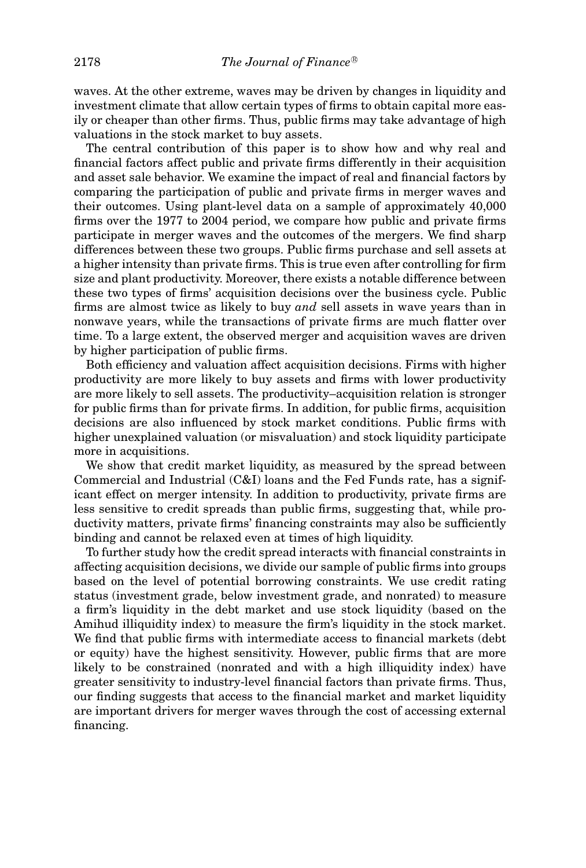waves. At the other extreme, waves may be driven by changes in liquidity and investment climate that allow certain types of firms to obtain capital more easily or cheaper than other firms. Thus, public firms may take advantage of high valuations in the stock market to buy assets.

The central contribution of this paper is to show how and why real and financial factors affect public and private firms differently in their acquisition and asset sale behavior. We examine the impact of real and financial factors by comparing the participation of public and private firms in merger waves and their outcomes. Using plant-level data on a sample of approximately 40,000 firms over the 1977 to 2004 period, we compare how public and private firms participate in merger waves and the outcomes of the mergers. We find sharp differences between these two groups. Public firms purchase and sell assets at a higher intensity than private firms. This is true even after controlling for firm size and plant productivity. Moreover, there exists a notable difference between these two types of firms' acquisition decisions over the business cycle. Public firms are almost twice as likely to buy *and* sell assets in wave years than in nonwave years, while the transactions of private firms are much flatter over time. To a large extent, the observed merger and acquisition waves are driven by higher participation of public firms.

Both efficiency and valuation affect acquisition decisions. Firms with higher productivity are more likely to buy assets and firms with lower productivity are more likely to sell assets. The productivity–acquisition relation is stronger for public firms than for private firms. In addition, for public firms, acquisition decisions are also influenced by stock market conditions. Public firms with higher unexplained valuation (or misvaluation) and stock liquidity participate more in acquisitions.

We show that credit market liquidity, as measured by the spread between Commercial and Industrial (C&I) loans and the Fed Funds rate, has a significant effect on merger intensity. In addition to productivity, private firms are less sensitive to credit spreads than public firms, suggesting that, while productivity matters, private firms' financing constraints may also be sufficiently binding and cannot be relaxed even at times of high liquidity.

To further study how the credit spread interacts with financial constraints in affecting acquisition decisions, we divide our sample of public firms into groups based on the level of potential borrowing constraints. We use credit rating status (investment grade, below investment grade, and nonrated) to measure a firm's liquidity in the debt market and use stock liquidity (based on the Amihud illiquidity index) to measure the firm's liquidity in the stock market. We find that public firms with intermediate access to financial markets (debt or equity) have the highest sensitivity. However, public firms that are more likely to be constrained (nonrated and with a high illiquidity index) have greater sensitivity to industry-level financial factors than private firms. Thus, our finding suggests that access to the financial market and market liquidity are important drivers for merger waves through the cost of accessing external financing.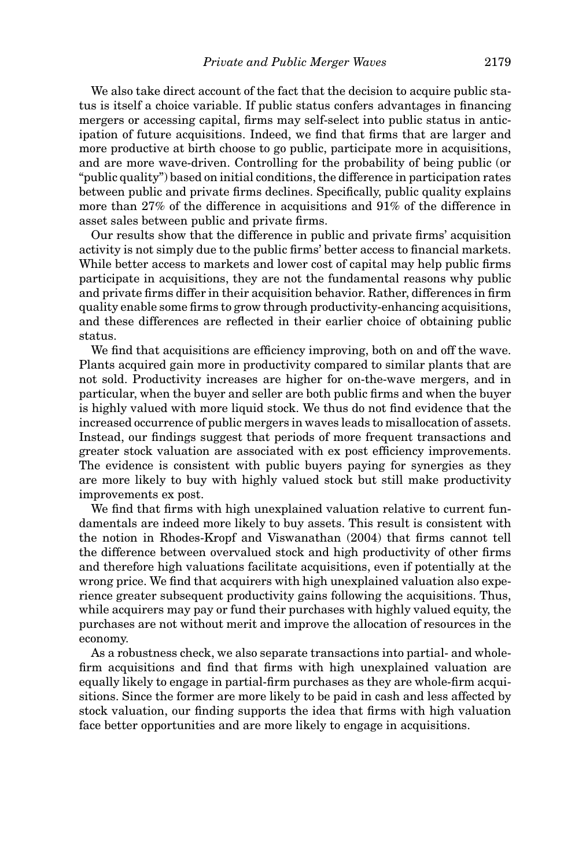We also take direct account of the fact that the decision to acquire public status is itself a choice variable. If public status confers advantages in financing mergers or accessing capital, firms may self-select into public status in anticipation of future acquisitions. Indeed, we find that firms that are larger and more productive at birth choose to go public, participate more in acquisitions, and are more wave-driven. Controlling for the probability of being public (or "public quality") based on initial conditions, the difference in participation rates between public and private firms declines. Specifically, public quality explains more than 27% of the difference in acquisitions and 91% of the difference in asset sales between public and private firms.

Our results show that the difference in public and private firms' acquisition activity is not simply due to the public firms' better access to financial markets. While better access to markets and lower cost of capital may help public firms participate in acquisitions, they are not the fundamental reasons why public and private firms differ in their acquisition behavior. Rather, differences in firm quality enable some firms to grow through productivity-enhancing acquisitions, and these differences are reflected in their earlier choice of obtaining public status.

We find that acquisitions are efficiency improving, both on and off the wave. Plants acquired gain more in productivity compared to similar plants that are not sold. Productivity increases are higher for on-the-wave mergers, and in particular, when the buyer and seller are both public firms and when the buyer is highly valued with more liquid stock. We thus do not find evidence that the increased occurrence of public mergers in waves leads to misallocation of assets. Instead, our findings suggest that periods of more frequent transactions and greater stock valuation are associated with ex post efficiency improvements. The evidence is consistent with public buyers paying for synergies as they are more likely to buy with highly valued stock but still make productivity improvements ex post.

We find that firms with high unexplained valuation relative to current fundamentals are indeed more likely to buy assets. This result is consistent with the notion in Rhodes-Kropf and Viswanathan (2004) that firms cannot tell the difference between overvalued stock and high productivity of other firms and therefore high valuations facilitate acquisitions, even if potentially at the wrong price. We find that acquirers with high unexplained valuation also experience greater subsequent productivity gains following the acquisitions. Thus, while acquirers may pay or fund their purchases with highly valued equity, the purchases are not without merit and improve the allocation of resources in the economy.

As a robustness check, we also separate transactions into partial- and wholefirm acquisitions and find that firms with high unexplained valuation are equally likely to engage in partial-firm purchases as they are whole-firm acquisitions. Since the former are more likely to be paid in cash and less affected by stock valuation, our finding supports the idea that firms with high valuation face better opportunities and are more likely to engage in acquisitions.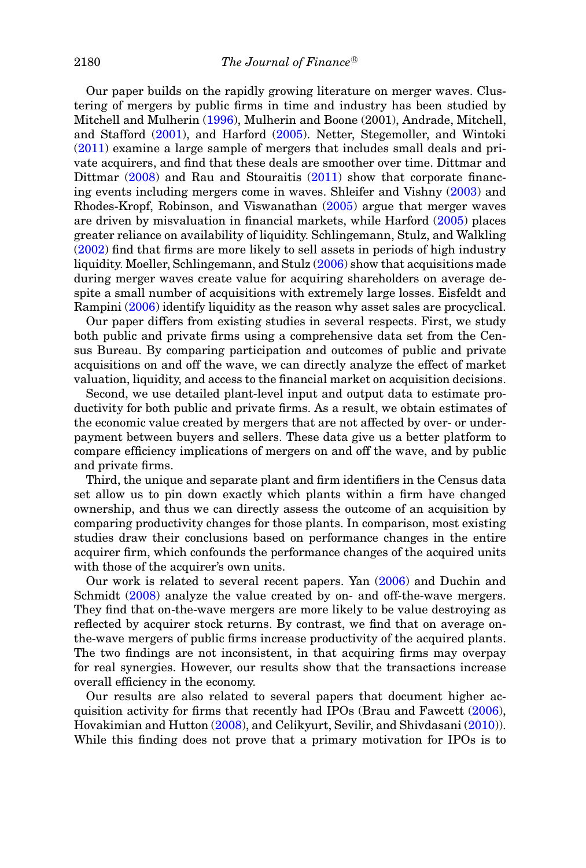Our paper builds on the rapidly growing literature on merger waves. Clustering of mergers by public firms in time and industry has been studied by Mitchell and Mulherin [\(1996\)](#page-40-0), Mulherin and Boone (2001), Andrade, Mitchell, and Stafford [\(2001\)](#page-39-1), and Harford [\(2005\)](#page-39-0). Netter, Stegemoller, and Wintoki [\(2011\)](#page-40-1) examine a large sample of mergers that includes small deals and private acquirers, and find that these deals are smoother over time. Dittmar and Dittmar [\(2008\)](#page-39-3) and Rau and Stouraitis [\(2011\)](#page-40-2) show that corporate financing events including mergers come in waves. Shleifer and Vishny [\(2003\)](#page-40-3) and Rhodes-Kropf, Robinson, and Viswanathan [\(2005\)](#page-40-4) argue that merger waves are driven by misvaluation in financial markets, while Harford [\(2005\)](#page-39-0) places greater reliance on availability of liquidity. Schlingemann, Stulz, and Walkling [\(2002\)](#page-40-5) find that firms are more likely to sell assets in periods of high industry liquidity. Moeller, Schlingemann, and Stulz [\(2006\)](#page-40-6) show that acquisitions made during merger waves create value for acquiring shareholders on average despite a small number of acquisitions with extremely large losses. Eisfeldt and Rampini [\(2006\)](#page-39-4) identify liquidity as the reason why asset sales are procyclical.

Our paper differs from existing studies in several respects. First, we study both public and private firms using a comprehensive data set from the Census Bureau. By comparing participation and outcomes of public and private acquisitions on and off the wave, we can directly analyze the effect of market valuation, liquidity, and access to the financial market on acquisition decisions.

Second, we use detailed plant-level input and output data to estimate productivity for both public and private firms. As a result, we obtain estimates of the economic value created by mergers that are not affected by over- or underpayment between buyers and sellers. These data give us a better platform to compare efficiency implications of mergers on and off the wave, and by public and private firms.

Third, the unique and separate plant and firm identifiers in the Census data set allow us to pin down exactly which plants within a firm have changed ownership, and thus we can directly assess the outcome of an acquisition by comparing productivity changes for those plants. In comparison, most existing studies draw their conclusions based on performance changes in the entire acquirer firm, which confounds the performance changes of the acquired units with those of the acquirer's own units.

Our work is related to several recent papers. Yan [\(2006\)](#page-40-7) and Duchin and Schmidt [\(2008\)](#page-39-5) analyze the value created by on- and off-the-wave mergers. They find that on-the-wave mergers are more likely to be value destroying as reflected by acquirer stock returns. By contrast, we find that on average onthe-wave mergers of public firms increase productivity of the acquired plants. The two findings are not inconsistent, in that acquiring firms may overpay for real synergies. However, our results show that the transactions increase overall efficiency in the economy.

Our results are also related to several papers that document higher acquisition activity for firms that recently had IPOs (Brau and Fawcett [\(2006\)](#page-39-6), Hovakimian and Hutton [\(2008\)](#page-39-7), and Celikyurt, Sevilir, and Shivdasani [\(2010\)](#page-39-8)). While this finding does not prove that a primary motivation for IPOs is to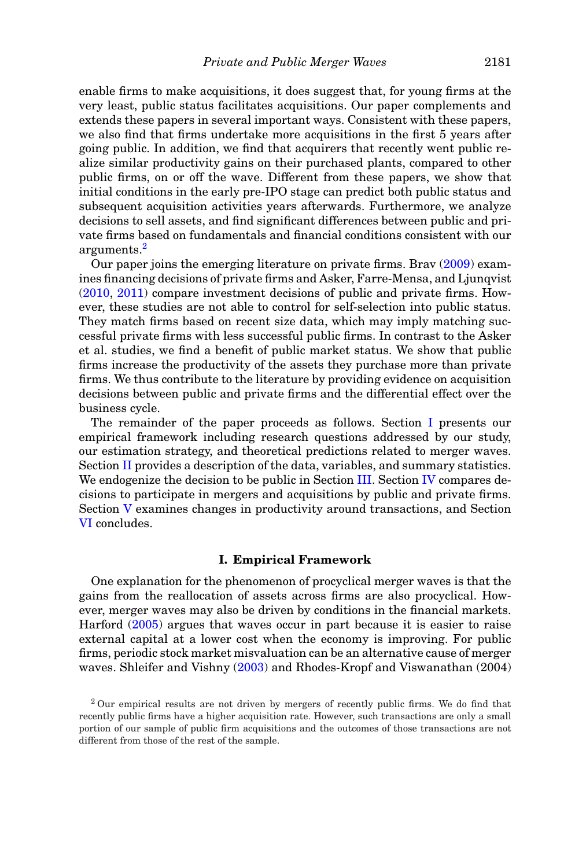enable firms to make acquisitions, it does suggest that, for young firms at the very least, public status facilitates acquisitions. Our paper complements and extends these papers in several important ways. Consistent with these papers, we also find that firms undertake more acquisitions in the first 5 years after going public. In addition, we find that acquirers that recently went public realize similar productivity gains on their purchased plants, compared to other public firms, on or off the wave. Different from these papers, we show that initial conditions in the early pre-IPO stage can predict both public status and subsequent acquisition activities years afterwards. Furthermore, we analyze decisions to sell assets, and find significant differences between public and private firms based on fundamentals and financial conditions consistent with our arguments.<sup>2</sup>

Our paper joins the emerging literature on private firms. Brav [\(2009\)](#page-39-9) examines financing decisions of private firms and Asker, Farre-Mensa, and Ljunqvist [\(2010,](#page-39-10) [2011\)](#page-39-11) compare investment decisions of public and private firms. However, these studies are not able to control for self-selection into public status. They match firms based on recent size data, which may imply matching successful private firms with less successful public firms. In contrast to the Asker et al. studies, we find a benefit of public market status. We show that public firms increase the productivity of the assets they purchase more than private firms. We thus contribute to the literature by providing evidence on acquisition decisions between public and private firms and the differential effect over the business cycle.

The remainder of the paper proceeds as follows. Section [I](#page-4-1) presents our empirical framework including research questions addressed by our study, our estimation strategy, and theoretical predictions related to merger waves. Section [II](#page-12-0) provides a description of the data, variables, and summary statistics. We endogenize the decision to be public in Section [III.](#page-14-0) Section [IV](#page-26-0) compares decisions to participate in mergers and acquisitions by public and private firms. Section [V](#page-33-0) examines changes in productivity around transactions, and Section [VI](#page-37-0) concludes.

#### **I. Empirical Framework**

<span id="page-4-1"></span>One explanation for the phenomenon of procyclical merger waves is that the gains from the reallocation of assets across firms are also procyclical. However, merger waves may also be driven by conditions in the financial markets. Harford [\(2005\)](#page-39-0) argues that waves occur in part because it is easier to raise external capital at a lower cost when the economy is improving. For public firms, periodic stock market misvaluation can be an alternative cause of merger waves. Shleifer and Vishny [\(2003\)](#page-40-3) and Rhodes-Kropf and Viswanathan (2004)

<span id="page-4-0"></span><sup>2</sup> Our empirical results are not driven by mergers of recently public firms. We do find that recently public firms have a higher acquisition rate. However, such transactions are only a small portion of our sample of public firm acquisitions and the outcomes of those transactions are not different from those of the rest of the sample.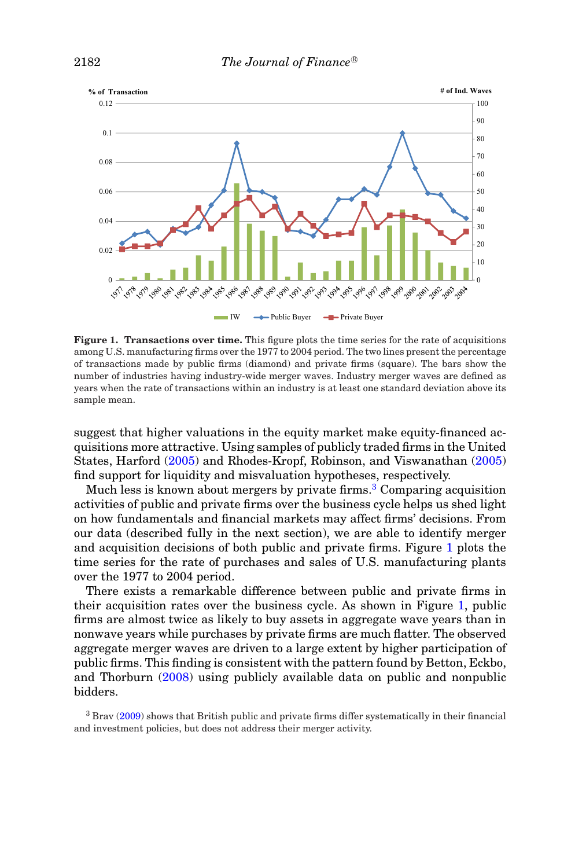

<span id="page-5-1"></span>**Figure 1. Transactions over time.** This figure plots the time series for the rate of acquisitions among U.S. manufacturing firms over the 1977 to 2004 period. The two lines present the percentage of transactions made by public firms (diamond) and private firms (square). The bars show the number of industries having industry-wide merger waves. Industry merger waves are defined as years when the rate of transactions within an industry is at least one standard deviation above its sample mean.

suggest that higher valuations in the equity market make equity-financed acquisitions more attractive. Using samples of publicly traded firms in the United States, Harford [\(2005\)](#page-39-0) and Rhodes-Kropf, Robinson, and Viswanathan [\(2005\)](#page-40-4) find support for liquidity and misvaluation hypotheses, respectively.

Much less is known about mergers by private firms.<sup>3</sup> Comparing acquisition activities of public and private firms over the business cycle helps us shed light on how fundamentals and financial markets may affect firms' decisions. From our data (described fully in the next section), we are able to identify merger and acquisition decisions of both public and private firms. Figure [1](#page-5-1) plots the time series for the rate of purchases and sales of U.S. manufacturing plants over the 1977 to 2004 period.

There exists a remarkable difference between public and private firms in their acquisition rates over the business cycle. As shown in Figure [1,](#page-5-1) public firms are almost twice as likely to buy assets in aggregate wave years than in nonwave years while purchases by private firms are much flatter. The observed aggregate merger waves are driven to a large extent by higher participation of public firms. This finding is consistent with the pattern found by Betton, Eckbo, and Thorburn [\(2008\)](#page-39-2) using publicly available data on public and nonpublic bidders.

<span id="page-5-0"></span><sup>3</sup> Brav [\(2009\)](#page-39-9) shows that British public and private firms differ systematically in their financial and investment policies, but does not address their merger activity.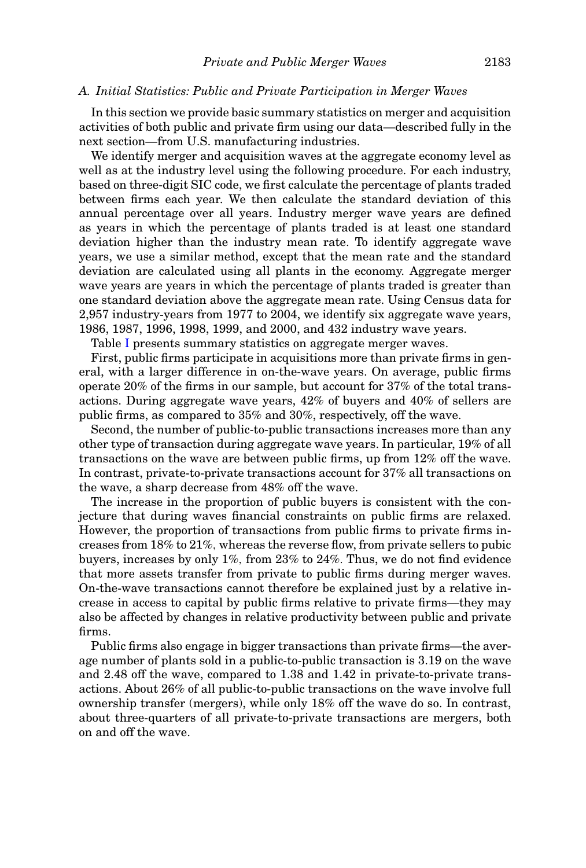#### *A. Initial Statistics: Public and Private Participation in Merger Waves*

In this section we provide basic summary statistics on merger and acquisition activities of both public and private firm using our data—described fully in the next section—from U.S. manufacturing industries.

We identify merger and acquisition waves at the aggregate economy level as well as at the industry level using the following procedure. For each industry, based on three-digit SIC code, we first calculate the percentage of plants traded between firms each year. We then calculate the standard deviation of this annual percentage over all years. Industry merger wave years are defined as years in which the percentage of plants traded is at least one standard deviation higher than the industry mean rate. To identify aggregate wave years, we use a similar method, except that the mean rate and the standard deviation are calculated using all plants in the economy. Aggregate merger wave years are years in which the percentage of plants traded is greater than one standard deviation above the aggregate mean rate. Using Census data for 2,957 industry-years from 1977 to 2004, we identify six aggregate wave years, 1986, 1987, 1996, 1998, 1999, and 2000, and 432 industry wave years.

Table [I](#page-7-0) presents summary statistics on aggregate merger waves.

First, public firms participate in acquisitions more than private firms in general, with a larger difference in on-the-wave years. On average, public firms operate 20% of the firms in our sample, but account for 37% of the total transactions. During aggregate wave years, 42% of buyers and 40% of sellers are public firms, as compared to 35% and 30%, respectively, off the wave.

Second, the number of public-to-public transactions increases more than any other type of transaction during aggregate wave years. In particular, 19% of all transactions on the wave are between public firms, up from 12% off the wave. In contrast, private-to-private transactions account for 37% all transactions on the wave, a sharp decrease from 48% off the wave.

The increase in the proportion of public buyers is consistent with the conjecture that during waves financial constraints on public firms are relaxed. However, the proportion of transactions from public firms to private firms increases from 18% to 21%, whereas the reverse flow, from private sellers to pubic buyers, increases by only 1%, from 23% to 24%. Thus, we do not find evidence that more assets transfer from private to public firms during merger waves. On-the-wave transactions cannot therefore be explained just by a relative increase in access to capital by public firms relative to private firms—they may also be affected by changes in relative productivity between public and private firms.

Public firms also engage in bigger transactions than private firms—the average number of plants sold in a public-to-public transaction is 3.19 on the wave and 2.48 off the wave, compared to 1.38 and 1.42 in private-to-private transactions. About 26% of all public-to-public transactions on the wave involve full ownership transfer (mergers), while only 18% off the wave do so. In contrast, about three-quarters of all private-to-private transactions are mergers, both on and off the wave.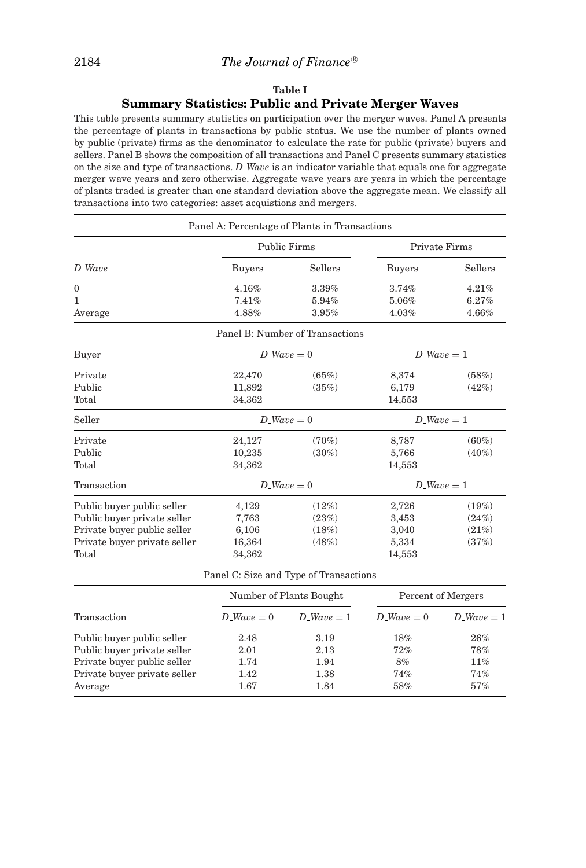## **Table I**

# **Summary Statistics: Public and Private Merger Waves**

<span id="page-7-0"></span>This table presents summary statistics on participation over the merger waves. Panel A presents the percentage of plants in transactions by public status. We use the number of plants owned by public (private) firms as the denominator to calculate the rate for public (private) buyers and sellers. Panel B shows the composition of all transactions and Panel C presents summary statistics on the size and type of transactions. *D Wave* is an indicator variable that equals one for aggregate merger wave years and zero otherwise. Aggregate wave years are years in which the percentage of plants traded is greater than one standard deviation above the aggregate mean. We classify all transactions into two categories: asset acquistions and mergers.

|                              |                 | Panel A: Percentage of Plants in Transactions |                 |                    |
|------------------------------|-----------------|-----------------------------------------------|-----------------|--------------------|
|                              |                 | <b>Public Firms</b>                           |                 | Private Firms      |
| $D_$ Wave                    | <b>Buyers</b>   | Sellers                                       | <b>Buyers</b>   | Sellers            |
| $\mathbf{0}$                 | 4.16%           | 3.39%                                         | 3.74%           | 4.21%              |
| 1                            | 7.41%           | 5.94%                                         | 5.06%           | 6.27%              |
| Average                      | 4.88%           | 3.95%                                         | 4.03%           | 4.66%              |
|                              |                 | Panel B: Number of Transactions               |                 |                    |
| Buyer                        | D Wave $= 0$    |                                               |                 | D Wave $=1$        |
| Private                      | 22,470          | (65%)                                         | 8,374           | (58%)              |
| Public                       | 11,892          | (35%)                                         | 6,179           | (42%)              |
| Total                        | 34,362          |                                               | 14,553          |                    |
| Seller                       | $D_W a v e = 0$ |                                               | $D_W a v e = 1$ |                    |
| Private                      | 24,127          | (70%)                                         | 8,787           | $(60\%)$           |
| Public                       | 10,235          | $(30\%)$                                      | 5,766           | $(40\%)$           |
| Total                        | 34,362          |                                               | 14,553          |                    |
| Transaction                  | D Wave $= 0$    |                                               |                 | D Wave $= 1$       |
| Public buyer public seller   | 4,129           | (12%)                                         | 2,726           | (19%)              |
| Public buyer private seller  | 7,763           | (23%)                                         | 3,453           | (24%)              |
| Private buyer public seller  | 6,106           | (18%)                                         | 3,040           | (21%)              |
| Private buyer private seller | 16,364          | (48%)                                         | 5,334           | (37%)              |
| Total                        | 34,362          |                                               | 14,553          |                    |
|                              |                 | Panel C: Size and Type of Transactions        |                 |                    |
|                              |                 | Number of Plants Bought                       |                 | Percent of Mergers |

|                 |                 | referent of mergers    |                     |  |
|-----------------|-----------------|------------------------|---------------------|--|
| $D_W a v e = 0$ | $D_$ \_Wave = 1 | $D_$ Wave $= 0$        | $D$ <i>Wave</i> = 1 |  |
| 2.48            | 3.19            | $18\%$                 | $26\%$              |  |
| 2.01            | 2.13            | 72%                    | 78%                 |  |
| 1.74            | 1.94            | 8%                     | 11%                 |  |
| 1.42            | 1.38            | 74%                    | 74%                 |  |
| $1.67\,$        | 1.84            | 58%                    | 57%                 |  |
|                 |                 | Number of Fiams Dought |                     |  |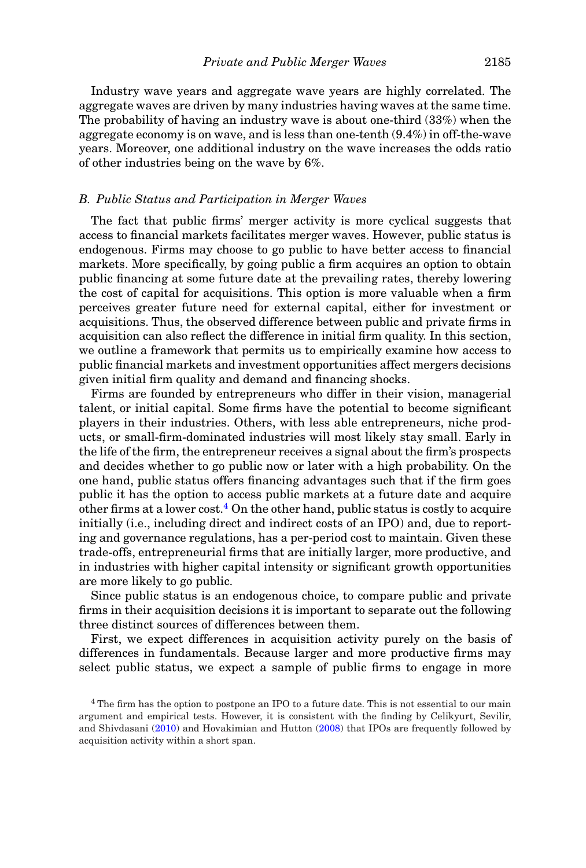Industry wave years and aggregate wave years are highly correlated. The aggregate waves are driven by many industries having waves at the same time. The probability of having an industry wave is about one-third (33%) when the aggregate economy is on wave, and is less than one-tenth (9.4%) in off-the-wave years. Moreover, one additional industry on the wave increases the odds ratio of other industries being on the wave by 6%.

#### *B. Public Status and Participation in Merger Waves*

The fact that public firms' merger activity is more cyclical suggests that access to financial markets facilitates merger waves. However, public status is endogenous. Firms may choose to go public to have better access to financial markets. More specifically, by going public a firm acquires an option to obtain public financing at some future date at the prevailing rates, thereby lowering the cost of capital for acquisitions. This option is more valuable when a firm perceives greater future need for external capital, either for investment or acquisitions. Thus, the observed difference between public and private firms in acquisition can also reflect the difference in initial firm quality. In this section, we outline a framework that permits us to empirically examine how access to public financial markets and investment opportunities affect mergers decisions given initial firm quality and demand and financing shocks.

Firms are founded by entrepreneurs who differ in their vision, managerial talent, or initial capital. Some firms have the potential to become significant players in their industries. Others, with less able entrepreneurs, niche products, or small-firm-dominated industries will most likely stay small. Early in the life of the firm, the entrepreneur receives a signal about the firm's prospects and decides whether to go public now or later with a high probability. On the one hand, public status offers financing advantages such that if the firm goes public it has the option to access public markets at a future date and acquire other firms at a lower cost.<sup>4</sup> On the other hand, public status is costly to acquire initially (i.e., including direct and indirect costs of an IPO) and, due to reporting and governance regulations, has a per-period cost to maintain. Given these trade-offs, entrepreneurial firms that are initially larger, more productive, and in industries with higher capital intensity or significant growth opportunities are more likely to go public.

Since public status is an endogenous choice, to compare public and private firms in their acquisition decisions it is important to separate out the following three distinct sources of differences between them.

First, we expect differences in acquisition activity purely on the basis of differences in fundamentals. Because larger and more productive firms may select public status, we expect a sample of public firms to engage in more

<span id="page-8-0"></span><sup>&</sup>lt;sup>4</sup> The firm has the option to postpone an IPO to a future date. This is not essential to our main argument and empirical tests. However, it is consistent with the finding by Celikyurt, Sevilir, and Shivdasani [\(2010\)](#page-39-8) and Hovakimian and Hutton [\(2008\)](#page-39-7) that IPOs are frequently followed by acquisition activity within a short span.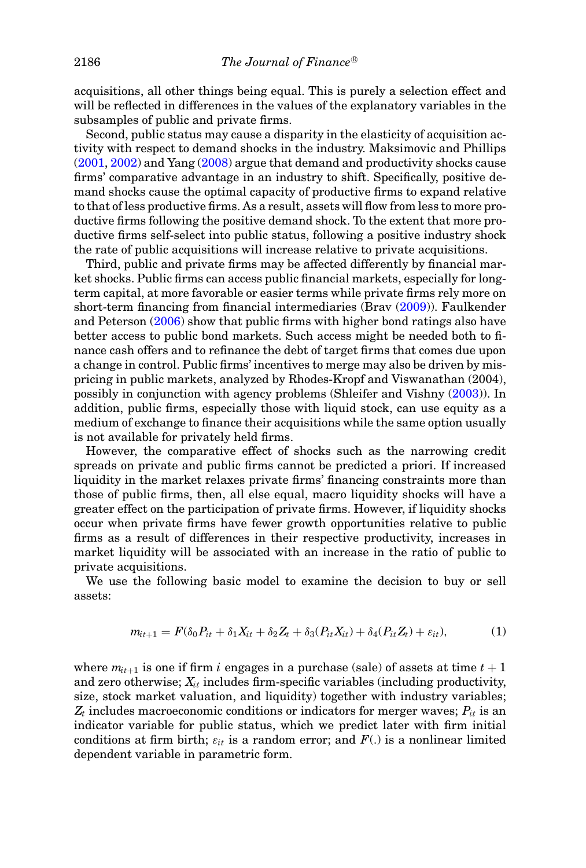acquisitions, all other things being equal. This is purely a selection effect and will be reflected in differences in the values of the explanatory variables in the subsamples of public and private firms.

Second, public status may cause a disparity in the elasticity of acquisition activity with respect to demand shocks in the industry. Maksimovic and Phillips [\(2001,](#page-39-12) [2002\)](#page-40-8) and Yang [\(2008\)](#page-40-9) argue that demand and productivity shocks cause firms' comparative advantage in an industry to shift. Specifically, positive demand shocks cause the optimal capacity of productive firms to expand relative to that of less productive firms. As a result, assets will flow from less to more productive firms following the positive demand shock. To the extent that more productive firms self-select into public status, following a positive industry shock the rate of public acquisitions will increase relative to private acquisitions.

Third, public and private firms may be affected differently by financial market shocks. Public firms can access public financial markets, especially for longterm capital, at more favorable or easier terms while private firms rely more on short-term financing from financial intermediaries (Brav [\(2009\)](#page-39-9)). Faulkender and Peterson [\(2006\)](#page-39-13) show that public firms with higher bond ratings also have better access to public bond markets. Such access might be needed both to finance cash offers and to refinance the debt of target firms that comes due upon a change in control. Public firms' incentives to merge may also be driven by mispricing in public markets, analyzed by Rhodes-Kropf and Viswanathan (2004), possibly in conjunction with agency problems (Shleifer and Vishny [\(2003\)](#page-40-3)). In addition, public firms, especially those with liquid stock, can use equity as a medium of exchange to finance their acquisitions while the same option usually is not available for privately held firms.

However, the comparative effect of shocks such as the narrowing credit spreads on private and public firms cannot be predicted a priori. If increased liquidity in the market relaxes private firms' financing constraints more than those of public firms, then, all else equal, macro liquidity shocks will have a greater effect on the participation of private firms. However, if liquidity shocks occur when private firms have fewer growth opportunities relative to public firms as a result of differences in their respective productivity, increases in market liquidity will be associated with an increase in the ratio of public to private acquisitions.

We use the following basic model to examine the decision to buy or sell assets:

<span id="page-9-0"></span>
$$
m_{it+1} = F(\delta_0 P_{it} + \delta_1 X_{it} + \delta_2 Z_t + \delta_3 (P_{it} X_{it}) + \delta_4 (P_{it} Z_t) + \varepsilon_{it}),
$$
\n(1)

where  $m_{i+1}$  is one if firm *i* engages in a purchase (sale) of assets at time  $t + 1$ and zero otherwise;  $X_{it}$  includes firm-specific variables (including productivity, size, stock market valuation, and liquidity) together with industry variables;  $Z_t$  includes macroeconomic conditions or indicators for merger waves;  $P_{it}$  is an indicator variable for public status, which we predict later with firm initial conditions at firm birth;  $\varepsilon_{it}$  is a random error; and  $F(.)$  is a nonlinear limited dependent variable in parametric form.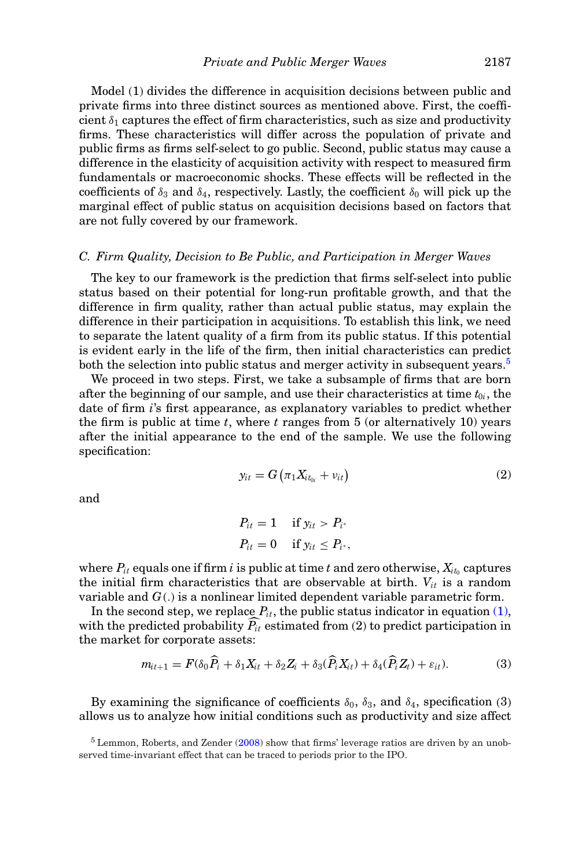Model (1) divides the difference in acquisition decisions between public and private firms into three distinct sources as mentioned above. First, the coefficient  $\delta_1$  captures the effect of firm characteristics, such as size and productivity firms. These characteristics will differ across the population of private and public firms as firms self-select to go public. Second, public status may cause a difference in the elasticity of acquisition activity with respect to measured firm fundamentals or macroeconomic shocks. These effects will be reflected in the coefficients of  $\delta_3$  and  $\delta_4$ , respectively. Lastly, the coefficient  $\delta_0$  will pick up the marginal effect of public status on acquisition decisions based on factors that are not fully covered by our framework.

# *C. Firm Quality, Decision to Be Public, and Participation in Merger Waves*

The key to our framework is the prediction that firms self-select into public status based on their potential for long-run profitable growth, and that the difference in firm quality, rather than actual public status, may explain the difference in their participation in acquisitions. To establish this link, we need to separate the latent quality of a firm from its public status. If this potential is evident early in the life of the firm, then initial characteristics can predict both the selection into public status and merger activity in subsequent years.<sup>5</sup>

We proceed in two steps. First, we take a subsample of firms that are born after the beginning of our sample, and use their characteristics at time  $t_{0i}$ , the date of firm *i*'s first appearance, as explanatory variables to predict whether the firm is public at time *t*, where *t* ranges from 5 (or alternatively 10) years after the initial appearance to the end of the sample. We use the following specification:

$$
y_{it} = G\left(\pi_1 X_{it_{0i}} + v_{it}\right) \tag{2}
$$

and

$$
P_{it} = 1 \quad \text{if } y_{it} > P_{i^*}
$$
  

$$
P_{it} = 0 \quad \text{if } y_{it} \le P_{i^*},
$$

where  $P_{it}$  equals one if firm *i* is public at time *t* and zero otherwise,  $X_{it_0}$  captures the initial firm characteristics that are observable at birth.  $V_{it}$  is a random variable and  $G(.)$  is a nonlinear limited dependent variable parametric form.

In the second step, we replace  $P_{it}$ , the public status indicator in equation  $(1)$ , with the predicted probability  $\widehat{P}_{it}$  estimated from (2) to predict participation in the market for corporate assets:

$$
m_{it+1} = F(\delta_0 \widehat{P}_i + \delta_1 X_{it} + \delta_2 Z_i + \delta_3 (\widehat{P}_i X_{it}) + \delta_4 (\widehat{P}_i Z_t) + \varepsilon_{it}).
$$
\n(3)

By examining the significance of coefficients  $\delta_0$ ,  $\delta_3$ , and  $\delta_4$ , specification (3) allows us to analyze how initial conditions such as productivity and size affect

<span id="page-10-0"></span><sup>5</sup> Lemmon, Roberts, and Zender [\(2008\)](#page-39-14) show that firms' leverage ratios are driven by an unobserved time-invariant effect that can be traced to periods prior to the IPO.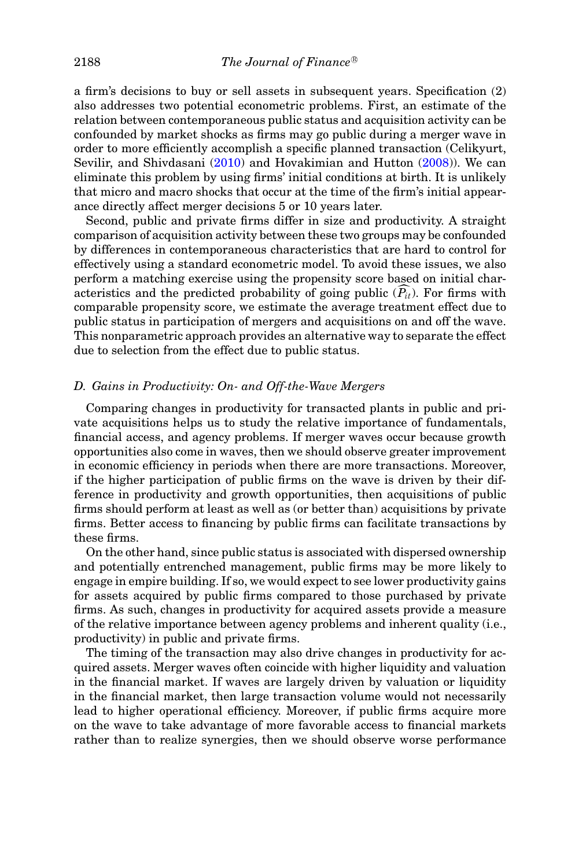a firm's decisions to buy or sell assets in subsequent years. Specification (2) also addresses two potential econometric problems. First, an estimate of the relation between contemporaneous public status and acquisition activity can be confounded by market shocks as firms may go public during a merger wave in order to more efficiently accomplish a specific planned transaction (Celikyurt, Sevilir, and Shivdasani [\(2010\)](#page-39-8) and Hovakimian and Hutton [\(2008\)](#page-39-7)). We can eliminate this problem by using firms' initial conditions at birth. It is unlikely that micro and macro shocks that occur at the time of the firm's initial appearance directly affect merger decisions 5 or 10 years later.

Second, public and private firms differ in size and productivity. A straight comparison of acquisition activity between these two groups may be confounded by differences in contemporaneous characteristics that are hard to control for effectively using a standard econometric model. To avoid these issues, we also perform a matching exercise using the propensity score based on initial characteristics and the predicted probability of going public  $(P_{it})$ . For firms with comparable propensity score, we estimate the average treatment effect due to public status in participation of mergers and acquisitions on and off the wave. This nonparametric approach provides an alternative way to separate the effect due to selection from the effect due to public status.

## *D. Gains in Productivity: On- and Off-the-Wave Mergers*

Comparing changes in productivity for transacted plants in public and private acquisitions helps us to study the relative importance of fundamentals, financial access, and agency problems. If merger waves occur because growth opportunities also come in waves, then we should observe greater improvement in economic efficiency in periods when there are more transactions. Moreover, if the higher participation of public firms on the wave is driven by their difference in productivity and growth opportunities, then acquisitions of public firms should perform at least as well as (or better than) acquisitions by private firms. Better access to financing by public firms can facilitate transactions by these firms.

On the other hand, since public status is associated with dispersed ownership and potentially entrenched management, public firms may be more likely to engage in empire building. If so, we would expect to see lower productivity gains for assets acquired by public firms compared to those purchased by private firms. As such, changes in productivity for acquired assets provide a measure of the relative importance between agency problems and inherent quality (i.e., productivity) in public and private firms.

The timing of the transaction may also drive changes in productivity for acquired assets. Merger waves often coincide with higher liquidity and valuation in the financial market. If waves are largely driven by valuation or liquidity in the financial market, then large transaction volume would not necessarily lead to higher operational efficiency. Moreover, if public firms acquire more on the wave to take advantage of more favorable access to financial markets rather than to realize synergies, then we should observe worse performance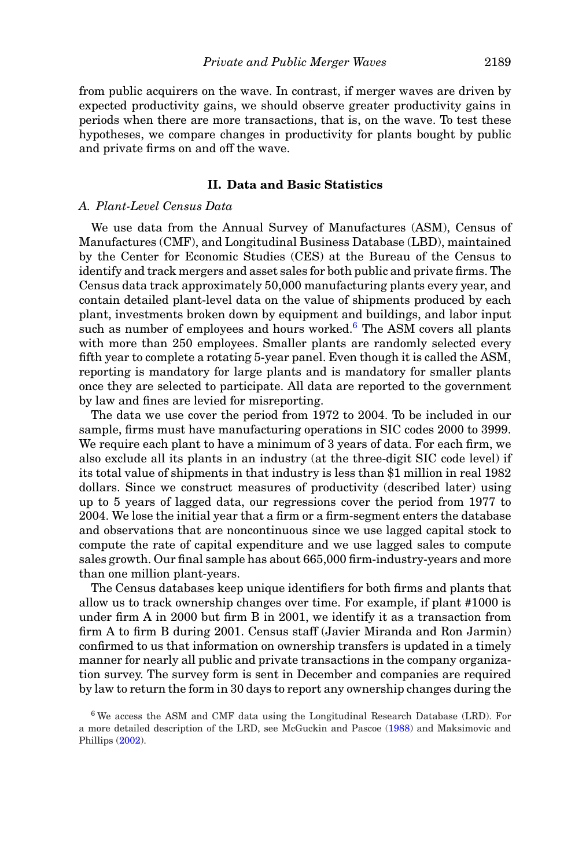from public acquirers on the wave. In contrast, if merger waves are driven by expected productivity gains, we should observe greater productivity gains in periods when there are more transactions, that is, on the wave. To test these hypotheses, we compare changes in productivity for plants bought by public and private firms on and off the wave.

#### **II. Data and Basic Statistics**

#### <span id="page-12-0"></span>*A. Plant-Level Census Data*

We use data from the Annual Survey of Manufactures (ASM), Census of Manufactures (CMF), and Longitudinal Business Database (LBD), maintained by the Center for Economic Studies (CES) at the Bureau of the Census to identify and track mergers and asset sales for both public and private firms. The Census data track approximately 50,000 manufacturing plants every year, and contain detailed plant-level data on the value of shipments produced by each plant, investments broken down by equipment and buildings, and labor input such as number of employees and hours worked.<sup>6</sup> The ASM covers all plants with more than 250 employees. Smaller plants are randomly selected every fifth year to complete a rotating 5-year panel. Even though it is called the ASM, reporting is mandatory for large plants and is mandatory for smaller plants once they are selected to participate. All data are reported to the government by law and fines are levied for misreporting.

The data we use cover the period from 1972 to 2004. To be included in our sample, firms must have manufacturing operations in SIC codes 2000 to 3999. We require each plant to have a minimum of 3 years of data. For each firm, we also exclude all its plants in an industry (at the three-digit SIC code level) if its total value of shipments in that industry is less than \$1 million in real 1982 dollars. Since we construct measures of productivity (described later) using up to 5 years of lagged data, our regressions cover the period from 1977 to 2004. We lose the initial year that a firm or a firm-segment enters the database and observations that are noncontinuous since we use lagged capital stock to compute the rate of capital expenditure and we use lagged sales to compute sales growth. Our final sample has about 665,000 firm-industry-years and more than one million plant-years.

The Census databases keep unique identifiers for both firms and plants that allow us to track ownership changes over time. For example, if plant #1000 is under firm A in 2000 but firm B in 2001, we identify it as a transaction from firm A to firm B during 2001. Census staff (Javier Miranda and Ron Jarmin) confirmed to us that information on ownership transfers is updated in a timely manner for nearly all public and private transactions in the company organization survey. The survey form is sent in December and companies are required by law to return the form in 30 days to report any ownership changes during the

<span id="page-12-1"></span><sup>6</sup> We access the ASM and CMF data using the Longitudinal Research Database (LRD). For a more detailed description of the LRD, see McGuckin and Pascoe [\(1988\)](#page-40-10) and Maksimovic and Phillips [\(2002\)](#page-40-8).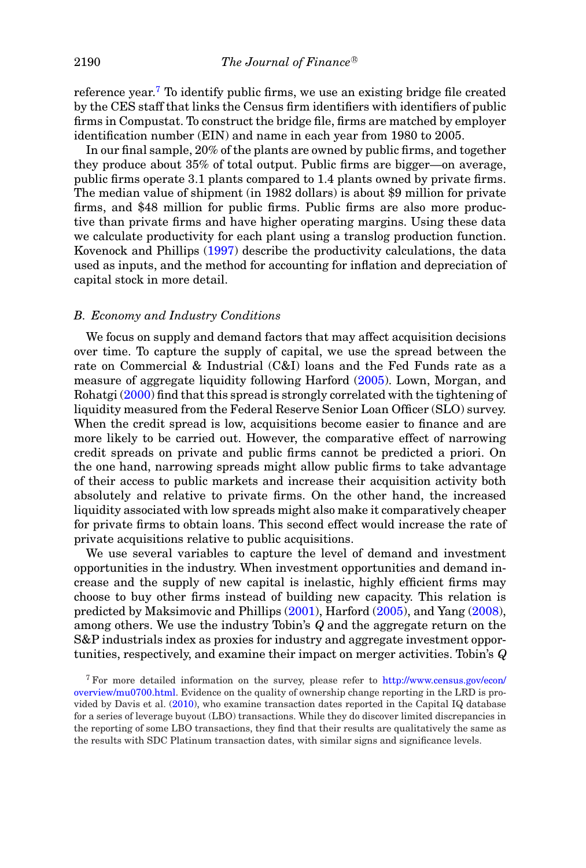reference year[.7](#page-13-0) To identify public firms, we use an existing bridge file created by the CES staff that links the Census firm identifiers with identifiers of public firms in Compustat. To construct the bridge file, firms are matched by employer identification number (EIN) and name in each year from 1980 to 2005.

In our final sample, 20% of the plants are owned by public firms, and together they produce about 35% of total output. Public firms are bigger—on average, public firms operate 3.1 plants compared to 1.4 plants owned by private firms. The median value of shipment (in 1982 dollars) is about \$9 million for private firms, and \$48 million for public firms. Public firms are also more productive than private firms and have higher operating margins. Using these data we calculate productivity for each plant using a translog production function. Kovenock and Phillips [\(1997\)](#page-39-15) describe the productivity calculations, the data used as inputs, and the method for accounting for inflation and depreciation of capital stock in more detail.

#### *B. Economy and Industry Conditions*

We focus on supply and demand factors that may affect acquisition decisions over time. To capture the supply of capital, we use the spread between the rate on Commercial & Industrial (C&I) loans and the Fed Funds rate as a measure of aggregate liquidity following Harford [\(2005\)](#page-39-0). Lown, Morgan, and Rohatgi [\(2000\)](#page-39-16) find that this spread is strongly correlated with the tightening of liquidity measured from the Federal Reserve Senior Loan Officer (SLO) survey. When the credit spread is low, acquisitions become easier to finance and are more likely to be carried out. However, the comparative effect of narrowing credit spreads on private and public firms cannot be predicted a priori. On the one hand, narrowing spreads might allow public firms to take advantage of their access to public markets and increase their acquisition activity both absolutely and relative to private firms. On the other hand, the increased liquidity associated with low spreads might also make it comparatively cheaper for private firms to obtain loans. This second effect would increase the rate of private acquisitions relative to public acquisitions.

We use several variables to capture the level of demand and investment opportunities in the industry. When investment opportunities and demand increase and the supply of new capital is inelastic, highly efficient firms may choose to buy other firms instead of building new capacity. This relation is predicted by Maksimovic and Phillips [\(2001\)](#page-39-12), Harford [\(2005\)](#page-39-0), and Yang [\(2008\)](#page-40-9), among others. We use the industry Tobin's *Q* and the aggregate return on the S&P industrials index as proxies for industry and aggregate investment opportunities, respectively, and examine their impact on merger activities. Tobin's *Q*

<span id="page-13-0"></span><sup>7</sup> For more detailed information on the survey, please refer to [http://www.census.gov/econ/](http://www.census.gov/econ/overview/mu0700.html) [overview/mu0700.html.](http://www.census.gov/econ/overview/mu0700.html) Evidence on the quality of ownership change reporting in the LRD is provided by Davis et al. [\(2010\)](#page-39-17), who examine transaction dates reported in the Capital IQ database for a series of leverage buyout (LBO) transactions. While they do discover limited discrepancies in the reporting of some LBO transactions, they find that their results are qualitatively the same as the results with SDC Platinum transaction dates, with similar signs and significance levels.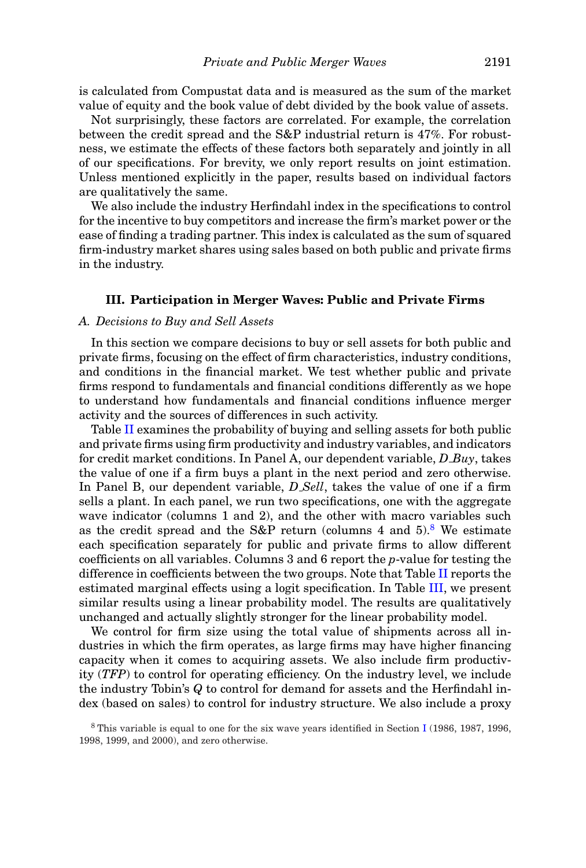is calculated from Compustat data and is measured as the sum of the market value of equity and the book value of debt divided by the book value of assets.

Not surprisingly, these factors are correlated. For example, the correlation between the credit spread and the S&P industrial return is 47%. For robustness, we estimate the effects of these factors both separately and jointly in all of our specifications. For brevity, we only report results on joint estimation. Unless mentioned explicitly in the paper, results based on individual factors are qualitatively the same.

We also include the industry Herfindahl index in the specifications to control for the incentive to buy competitors and increase the firm's market power or the ease of finding a trading partner. This index is calculated as the sum of squared firm-industry market shares using sales based on both public and private firms in the industry.

#### <span id="page-14-0"></span>**III. Participation in Merger Waves: Public and Private Firms**

# *A. Decisions to Buy and Sell Assets*

In this section we compare decisions to buy or sell assets for both public and private firms, focusing on the effect of firm characteristics, industry conditions, and conditions in the financial market. We test whether public and private firms respond to fundamentals and financial conditions differently as we hope to understand how fundamentals and financial conditions influence merger activity and the sources of differences in such activity.

Table [II](#page-15-0) examines the probability of buying and selling assets for both public and private firms using firm productivity and industry variables, and indicators for credit market conditions. In Panel A, our dependent variable, *D Buy*, takes the value of one if a firm buys a plant in the next period and zero otherwise. In Panel B, our dependent variable, *D Sell*, takes the value of one if a firm sells a plant. In each panel, we run two specifications, one with the aggregate wave indicator (columns 1 and 2), and the other with macro variables such as the credit spread and the S&P return (columns 4 and 5).<sup>8</sup> We estimate each specification separately for public and private firms to allow different coefficients on all variables. Columns 3 and 6 report the *p*-value for testing the difference in coefficients between the two groups. Note that Table [II](#page-15-0) reports the estimated marginal effects using a logit specification. In Table [III,](#page-17-0) we present similar results using a linear probability model. The results are qualitatively unchanged and actually slightly stronger for the linear probability model.

We control for firm size using the total value of shipments across all industries in which the firm operates, as large firms may have higher financing capacity when it comes to acquiring assets. We also include firm productivity (*TFP*) to control for operating efficiency. On the industry level, we include the industry Tobin's *Q* to control for demand for assets and the Herfindahl index (based on sales) to control for industry structure. We also include a proxy

<span id="page-14-1"></span><sup>8</sup> This variable is equal to one for the six wave years identified in Section [I](#page-4-1) (1986, 1987, 1996, 1998, 1999, and 2000), and zero otherwise.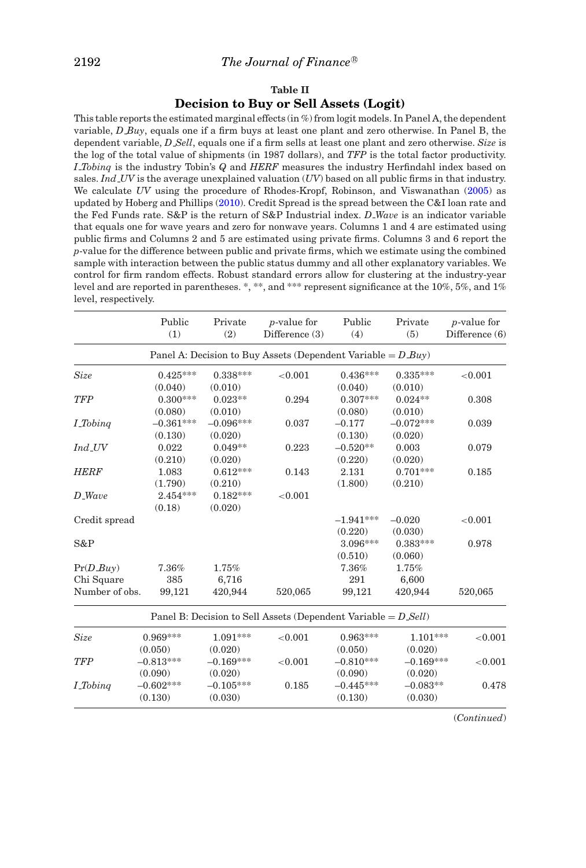## **Table II Decision to Buy or Sell Assets (Logit)**

<span id="page-15-0"></span>This table reports the estimated marginal effects (in %) from logit models. In Panel A, the dependent variable, *D Buy*, equals one if a firm buys at least one plant and zero otherwise. In Panel B, the dependent variable, *D Sell*, equals one if a firm sells at least one plant and zero otherwise. *Size* is the log of the total value of shipments (in 1987 dollars), and *TFP* is the total factor productivity. *I Tobinq* is the industry Tobin's *Q* and *HERF* measures the industry Herfindahl index based on sales. *Ind UV* is the average unexplained valuation (*UV*) based on all public firms in that industry. We calculate *UV* using the procedure of Rhodes-Kropf, Robinson, and Viswanathan [\(2005\)](#page-40-4) as updated by Hoberg and Phillips [\(2010\)](#page-39-18). Credit Spread is the spread between the C&I loan rate and the Fed Funds rate. S&P is the return of S&P Industrial index. *D Wave* is an indicator variable that equals one for wave years and zero for nonwave years. Columns 1 and 4 are estimated using public firms and Columns 2 and 5 are estimated using private firms. Columns 3 and 6 report the *p*-value for the difference between public and private firms, which we estimate using the combined sample with interaction between the public status dummy and all other explanatory variables. We control for firm random effects. Robust standard errors allow for clustering at the industry-year level and are reported in parentheses. \*, \*\*, and \*\*\* represent significance at the 10%, 5%, and 1% level, respectively.

|                | Public<br>(1) | Private<br>(2) | $p$ -value for<br>Difference $(3)$                               | Public<br>(4) | Private<br>(5) | $p$ -value for<br>Difference $(6)$ |
|----------------|---------------|----------------|------------------------------------------------------------------|---------------|----------------|------------------------------------|
|                |               |                | Panel A: Decision to Buy Assets (Dependent Variable = $D_B$ uy)  |               |                |                                    |
| Size           | $0.425***$    | $0.338***$     | ${<}0.001$                                                       | $0.436***$    | $0.335***$     | ${<}0.001$                         |
|                | (0.040)       | (0.010)        |                                                                  | (0.040)       | (0.010)        |                                    |
| <b>TFP</b>     | $0.300***$    | $0.023**$      | 0.294                                                            | $0.307***$    | $0.024**$      | 0.308                              |
|                | (0.080)       | (0.010)        |                                                                  | (0.080)       | (0.010)        |                                    |
| I_Tobing       | $-0.361***$   | $-0.096***$    | 0.037                                                            | $-0.177$      | $-0.072***$    | 0.039                              |
|                | (0.130)       | (0.020)        |                                                                  | (0.130)       | (0.020)        |                                    |
| Ind_UV         | 0.022         | $0.049**$      | 0.223                                                            | $-0.520**$    | 0.003          | 0.079                              |
|                | (0.210)       | (0.020)        |                                                                  | (0.220)       | (0.020)        |                                    |
| <b>HERF</b>    | 1.083         | $0.612***$     | 0.143                                                            | 2.131         | $0.701***$     | 0.185                              |
|                | (1.790)       | (0.210)        |                                                                  | (1.800)       | (0.210)        |                                    |
| $D$ _Wave      | $2.454***$    | $0.182***$     | ${<}0.001$                                                       |               |                |                                    |
|                | (0.18)        | (0.020)        |                                                                  |               |                |                                    |
| Credit spread  |               |                |                                                                  | $-1.941***$   | $-0.020$       | ${<}0.001$                         |
|                |               |                |                                                                  | (0.220)       | (0.030)        |                                    |
| S&P            |               |                |                                                                  | 3.096***      | $0.383***$     | 0.978                              |
|                |               |                |                                                                  | (0.510)       | (0.060)        |                                    |
| Pr(D B u y)    | 7.36%         | 1.75%          |                                                                  | 7.36%         | 1.75%          |                                    |
| Chi Square     | 385           | 6,716          |                                                                  | 291           | 6,600          |                                    |
| Number of obs. | 99,121        | 420,944        | 520,065                                                          | 99,121        | 420,944        | 520,065                            |
|                |               |                | Panel B: Decision to Sell Assets (Dependent Variable = $D$ Sell) |               |                |                                    |
| <b>Size</b>    | $0.969***$    | $1.091***$     | ${<}0.001$                                                       | $0.963***$    | $1.101***$     | < 0.001                            |
|                | (0.050)       | (0.020)        |                                                                  | (0.050)       | (0.020)        |                                    |
| <b>TFP</b>     | $-0.813***$   | $-0.169***$    | ${<}0.001$                                                       | $-0.810***$   | $-0.169***$    | < 0.001                            |
|                | (0.090)       | (0.020)        |                                                                  | (0.090)       | (0.020)        |                                    |
| I_Tobing       | $-0.602***$   | $-0.105***$    | 0.185                                                            | $-0.445***$   | $-0.083**$     | 0.478                              |
|                | (0.130)       | (0.030)        |                                                                  | (0.130)       | (0.030)        |                                    |
|                |               |                |                                                                  |               |                | $\sim$                             |

(*Continued*)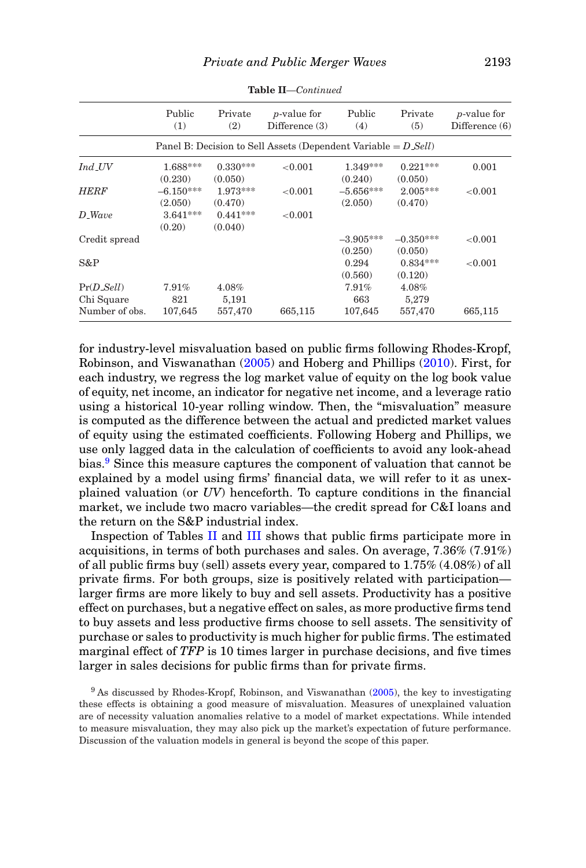| Public<br>(1)   | Private<br>(2)                          | <i>p</i> -value for<br>Difference $(3)$  | Public<br>(4)   | Private<br>(5)                                      | <i>p</i> -value for<br>Difference $(6)$                                                                                                 |
|-----------------|-----------------------------------------|------------------------------------------|-----------------|-----------------------------------------------------|-----------------------------------------------------------------------------------------------------------------------------------------|
|                 |                                         |                                          |                 |                                                     |                                                                                                                                         |
| $1.688***$      | $0.330***$                              | ${<}0.001$                               | $1.349***$      | $0.221***$                                          | 0.001                                                                                                                                   |
| $-6.150***$     | 1.973 ***                               | ${<}0.001$                               | $-5.656***$     | $2.005***$                                          | ${<}0.001$                                                                                                                              |
| $3.641***$      | $0.441***$                              | ${<}0.001$                               |                 |                                                     |                                                                                                                                         |
|                 |                                         |                                          | $-3.905***$     | $-0.350***$                                         | ${<}0.001$                                                                                                                              |
|                 |                                         |                                          | 0.294           | $0.834***$                                          | ${<}0.001$                                                                                                                              |
| $7.91\%$<br>821 | 4.08%<br>5,191                          |                                          | $7.91\%$<br>663 | 4.08%<br>5,279                                      | 665,115                                                                                                                                 |
|                 | (0.230)<br>(2.050)<br>(0.20)<br>107,645 | (0.050)<br>(0.470)<br>(0.040)<br>557,470 | 665,115         | (0.240)<br>(2.050)<br>(0.250)<br>(0.560)<br>107,645 | Panel B: Decision to Sell Assets (Dependent Variable $= D \text{.} \text{Sel}$ )<br>(0.050)<br>(0.470)<br>(0.050)<br>(0.120)<br>557,470 |

**Table II***—Continued*

for industry-level misvaluation based on public firms following Rhodes-Kropf, Robinson, and Viswanathan [\(2005\)](#page-40-4) and Hoberg and Phillips [\(2010\)](#page-39-18). First, for each industry, we regress the log market value of equity on the log book value of equity, net income, an indicator for negative net income, and a leverage ratio using a historical 10-year rolling window. Then, the "misvaluation" measure is computed as the difference between the actual and predicted market values of equity using the estimated coefficients. Following Hoberg and Phillips, we use only lagged data in the calculation of coefficients to avoid any look-ahead bias.[9](#page-16-0) Since this measure captures the component of valuation that cannot be explained by a model using firms' financial data, we will refer to it as unexplained valuation (or *UV*) henceforth. To capture conditions in the financial market, we include two macro variables—the credit spread for C&I loans and the return on the S&P industrial index.

Inspection of Tables [II](#page-15-0) and [III](#page-17-0) shows that public firms participate more in acquisitions, in terms of both purchases and sales. On average, 7.36% (7.91%) of all public firms buy (sell) assets every year, compared to 1.75% (4.08%) of all private firms. For both groups, size is positively related with participation larger firms are more likely to buy and sell assets. Productivity has a positive effect on purchases, but a negative effect on sales, as more productive firms tend to buy assets and less productive firms choose to sell assets. The sensitivity of purchase or sales to productivity is much higher for public firms. The estimated marginal effect of *TFP* is 10 times larger in purchase decisions, and five times larger in sales decisions for public firms than for private firms.

<span id="page-16-0"></span><sup>9</sup> As discussed by Rhodes-Kropf, Robinson, and Viswanathan [\(2005\)](#page-40-4), the key to investigating these effects is obtaining a good measure of misvaluation. Measures of unexplained valuation are of necessity valuation anomalies relative to a model of market expectations. While intended to measure misvaluation, they may also pick up the market's expectation of future performance. Discussion of the valuation models in general is beyond the scope of this paper.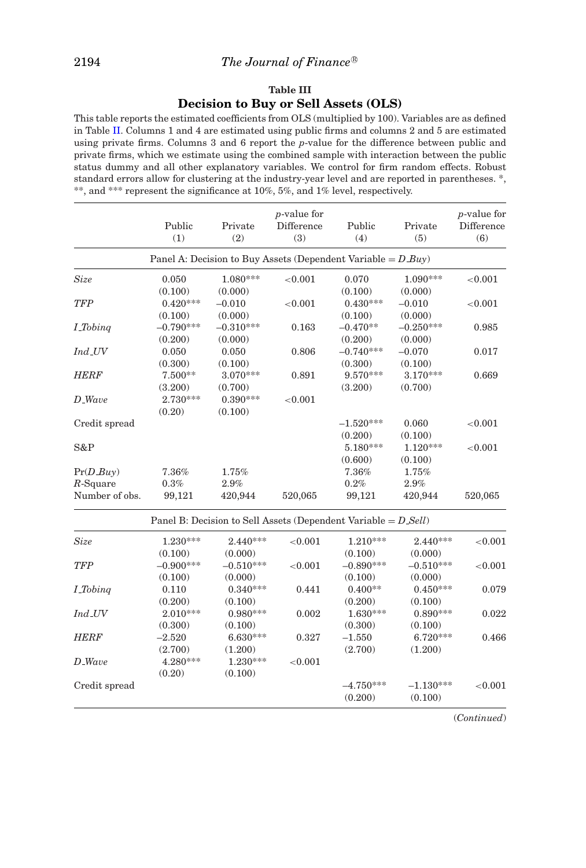# **Table III Decision to Buy or Sell Assets (OLS)**

<span id="page-17-0"></span>This table reports the estimated coefficients from OLS (multiplied by 100). Variables are as defined in Table [II.](#page-15-0) Columns 1 and 4 are estimated using public firms and columns 2 and 5 are estimated using private firms. Columns 3 and 6 report the *p*-value for the difference between public and private firms, which we estimate using the combined sample with interaction between the public status dummy and all other explanatory variables. We control for firm random effects. Robust standard errors allow for clustering at the industry-year level and are reported in parentheses. \*,  $^{***}$  represent the significance at 10%, 5%, and 1% level, respectively.

|                              | Public<br>(1)          | Private<br>(2)         | $p$ -value for<br>Difference<br>(3) | Public<br>(4)                                                    | Private<br>(5)         | $p$ -value for<br>Difference<br>(6) |
|------------------------------|------------------------|------------------------|-------------------------------------|------------------------------------------------------------------|------------------------|-------------------------------------|
|                              |                        |                        |                                     | Panel A: Decision to Buy Assets (Dependent Variable = $D_B(y)$ ) |                        |                                     |
| <b>Size</b>                  | 0.050<br>(0.100)       | $1.080***$<br>(0.000)  | ${<}0.001$                          | 0.070<br>(0.100)                                                 | $1.090***$<br>(0.000)  | ${<}0.001$                          |
| <b>TFP</b>                   | $0.420***$<br>(0.100)  | $-0.010$<br>(0.000)    | < 0.001                             | $0.430***$<br>(0.100)                                            | $-0.010$<br>(0.000)    | < 0.001                             |
| I_Tobing                     | $-0.790***$<br>(0.200) | $-0.310***$<br>(0.000) | 0.163                               | $-0.470**$<br>(0.200)                                            | $-0.250***$<br>(0.000) | 0.985                               |
| Ind_UV                       | 0.050<br>(0.300)       | 0.050<br>(0.100)       | 0.806                               | $-0.740***$<br>(0.300)                                           | $-0.070$<br>(0.100)    | 0.017                               |
| <b>HERF</b>                  | 7.500**<br>(3.200)     | 3.070***<br>(0.700)    | 0.891                               | 9.570***<br>(3.200)                                              | $3.170***$<br>(0.700)  | 0.669                               |
| $D$ _Wave                    | 2.730***<br>(0.20)     | $0.390***$<br>(0.100)  | ${<}0.001$                          |                                                                  |                        |                                     |
| Credit spread                |                        |                        |                                     | $-1.520***$<br>(0.200)                                           | 0.060<br>(0.100)       | ${<}0.001$                          |
| S&P                          |                        |                        |                                     | 5.180***<br>(0.600)                                              | $1.120***$<br>(0.100)  | ${<}0.001$                          |
| $Pr(D\_{Uy})$<br>$R$ -Square | 7.36%<br>0.3%          | 1.75%<br>2.9%          |                                     | 7.36%<br>0.2%                                                    | 1.75%<br>2.9%          |                                     |
| Number of obs.               | 99,121                 | 420,944                | 520,065                             | 99,121                                                           | 420,944                | 520,065                             |
|                              |                        |                        |                                     | Panel B: Decision to Sell Assets (Dependent Variable = $D$ Sell) |                        |                                     |
| Size                         | $1.230***$<br>(0.100)  | $2.440***$<br>(0.000)  | ${<}0.001$                          | $1.210***$<br>(0.100)                                            | $2.440***$<br>(0.000)  | < 0.001                             |
| <b>TFP</b>                   | $-0.900***$<br>(0.100) | $-0.510***$<br>(0.000) | ${<}0.001$                          | $-0.890***$<br>(0.100)                                           | $-0.510***$<br>(0.000) | < 0.001                             |
| I_Tobing                     | 0.110<br>(0.200)       | $0.340***$<br>(0.100)  | 0.441                               | $0.400**$<br>(0.200)                                             | $0.450***$<br>(0.100)  | 0.079                               |
| Ind_UV                       | $2.010***$<br>(0.300)  | $0.980***$<br>(0.100)  | 0.002                               | $1.630***$<br>(0.300)                                            | $0.890***$<br>(0.100)  | 0.022                               |
| <b>HERF</b>                  | $-2.520$<br>(2.700)    | 6.630***<br>(1.200)    | 0.327                               | $-1.550$<br>(2.700)                                              | 6.720***<br>(1.200)    | 0.466                               |
| $D$ _Wave                    | 4.280***<br>(0.20)     | 1.230***<br>(0.100)    | ${<}0.001$                          |                                                                  |                        |                                     |
| Credit spread                |                        |                        |                                     | $-4.750***$<br>(0.200)                                           | $-1.130***$<br>(0.100) | ${<}0.001$                          |

(*Continued*)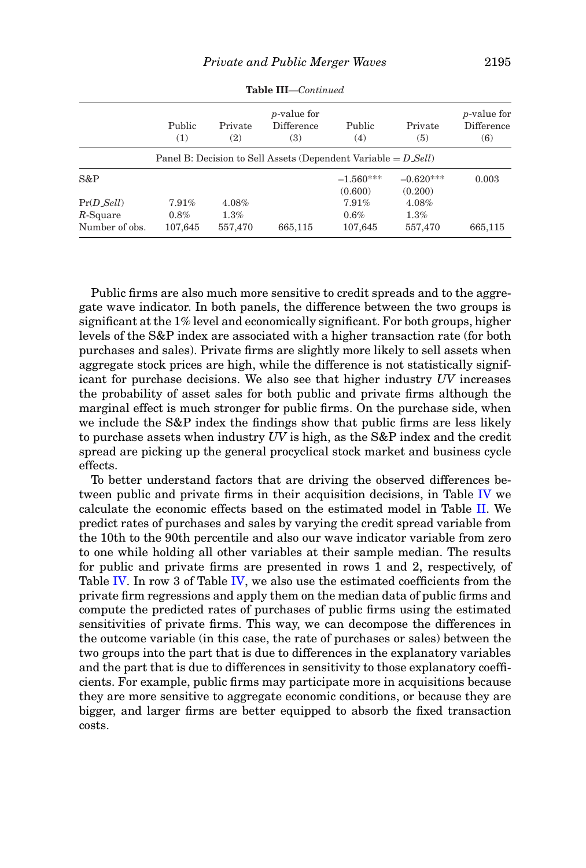|                                                   | Public<br>(1)               | Private<br>(2)              | <i>p</i> -value for<br><b>Difference</b><br>(3)                         | Public<br>(4)               | Private<br>(5)              | <i>p</i> -value for<br>Difference<br>(6) |
|---------------------------------------------------|-----------------------------|-----------------------------|-------------------------------------------------------------------------|-----------------------------|-----------------------------|------------------------------------------|
|                                                   |                             |                             | Panel B: Decision to Sell Assets (Dependent Variable $= D\text{Sell}$ ) |                             |                             |                                          |
| S&P                                               |                             |                             |                                                                         | $-1.560***$<br>(0.600)      | $-0.620***$<br>(0.200)      | 0.003                                    |
| $Pr(D \leq ell)$<br>$R$ -Square<br>Number of obs. | 7.91%<br>$0.8\%$<br>107,645 | 4.08%<br>$1.3\%$<br>557,470 | 665,115                                                                 | 7.91%<br>$0.6\%$<br>107,645 | 4.08%<br>$1.3\%$<br>557,470 | 665,115                                  |

**Table III***—Continued*

Public firms are also much more sensitive to credit spreads and to the aggregate wave indicator. In both panels, the difference between the two groups is significant at the 1% level and economically significant. For both groups, higher levels of the S&P index are associated with a higher transaction rate (for both purchases and sales). Private firms are slightly more likely to sell assets when aggregate stock prices are high, while the difference is not statistically significant for purchase decisions. We also see that higher industry *UV* increases the probability of asset sales for both public and private firms although the marginal effect is much stronger for public firms. On the purchase side, when we include the S&P index the findings show that public firms are less likely to purchase assets when industry *UV* is high, as the S&P index and the credit spread are picking up the general procyclical stock market and business cycle effects.

To better understand factors that are driving the observed differences between public and private firms in their acquisition decisions, in Table [IV](#page-19-0) we calculate the economic effects based on the estimated model in Table [II.](#page-15-0) We predict rates of purchases and sales by varying the credit spread variable from the 10th to the 90th percentile and also our wave indicator variable from zero to one while holding all other variables at their sample median. The results for public and private firms are presented in rows 1 and 2, respectively, of Table [IV.](#page-19-0) In row 3 of Table [IV,](#page-19-0) we also use the estimated coefficients from the private firm regressions and apply them on the median data of public firms and compute the predicted rates of purchases of public firms using the estimated sensitivities of private firms. This way, we can decompose the differences in the outcome variable (in this case, the rate of purchases or sales) between the two groups into the part that is due to differences in the explanatory variables and the part that is due to differences in sensitivity to those explanatory coefficients. For example, public firms may participate more in acquisitions because they are more sensitive to aggregate economic conditions, or because they are bigger, and larger firms are better equipped to absorb the fixed transaction costs.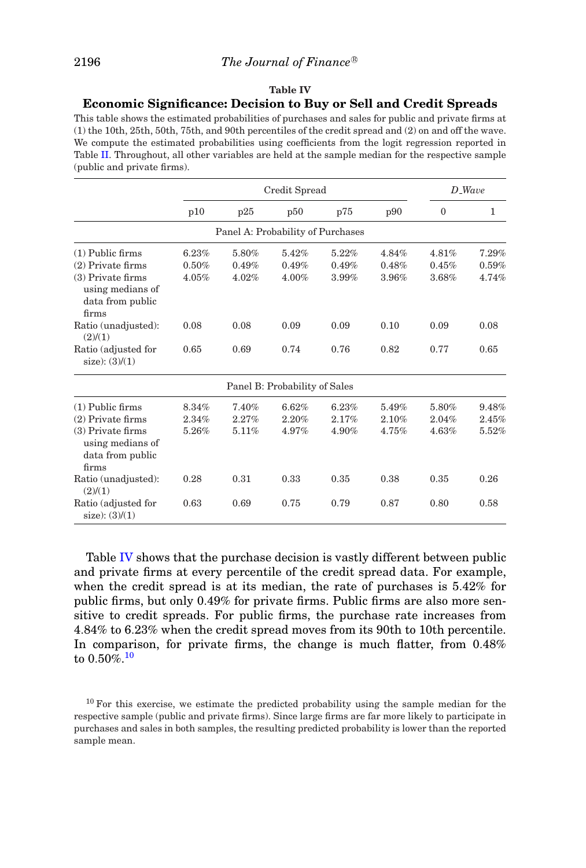## **Table IV**

#### <span id="page-19-0"></span>**Economic Significance: Decision to Buy or Sell and Credit Spreads**

This table shows the estimated probabilities of purchases and sales for public and private firms at (1) the 10th, 25th, 50th, 75th, and 90th percentiles of the credit spread and (2) on and off the wave. We compute the estimated probabilities using coefficients from the logit regression reported in Table [II.](#page-15-0) Throughout, all other variables are held at the sample median for the respective sample (public and private firms).

|                                                                      |       | Credit Spread |                                   |       |       |          | $D_$ Wave |  |
|----------------------------------------------------------------------|-------|---------------|-----------------------------------|-------|-------|----------|-----------|--|
|                                                                      | p10   | p25           | p50                               | p75   | p90   | $\theta$ | 1         |  |
|                                                                      |       |               | Panel A: Probability of Purchases |       |       |          |           |  |
| $(1)$ Public firms                                                   | 6.23% | 5.80%         | 5.42%                             | 5.22% | 4.84% | 4.81%    | 7.29%     |  |
| $(2)$ Private firms                                                  | 0.50% | 0.49%         | 0.49%                             | 0.49% | 0.48% | 0.45%    | 0.59%     |  |
| $(3)$ Private firms<br>using medians of<br>data from public<br>firms | 4.05% | $4.02\%$      | $4.00\%$                          | 3.99% | 3.96% | 3.68%    | 4.74%     |  |
| Ratio (unadjusted):<br>(2)/(1)                                       | 0.08  | 0.08          | 0.09                              | 0.09  | 0.10  | 0.09     | 0.08      |  |
| Ratio (adjusted for<br>size): (3)/(1)                                | 0.65  | 0.69          | 0.74                              | 0.76  | 0.82  | 0.77     | 0.65      |  |
|                                                                      |       |               | Panel B: Probability of Sales     |       |       |          |           |  |
| $(1)$ Public firms                                                   | 8.34% | 7.40%         | 6.62%                             | 6.23% | 5.49% | 5.80%    | 9.48%     |  |
| $(2)$ Private firms                                                  | 2.34% | 2.27%         | 2.20%                             | 2.17% | 2.10% | 2.04%    | 2.45%     |  |
| $(3)$ Private firms<br>using medians of<br>data from public<br>firms | 5.26% | 5.11%         | 4.97%                             | 4.90% | 4.75% | 4.63%    | 5.52%     |  |
| Ratio (unadjusted):<br>(2)/(1)                                       | 0.28  | 0.31          | 0.33                              | 0.35  | 0.38  | 0.35     | 0.26      |  |
| Ratio (adjusted for<br>size): (3)/(1)                                | 0.63  | 0.69          | 0.75                              | 0.79  | 0.87  | 0.80     | 0.58      |  |

Table [IV](#page-19-0) shows that the purchase decision is vastly different between public and private firms at every percentile of the credit spread data. For example, when the credit spread is at its median, the rate of purchases is 5.42% for public firms, but only 0.49% for private firms. Public firms are also more sensitive to credit spreads. For public firms, the purchase rate increases from 4.84% to 6.23% when the credit spread moves from its 90th to 10th percentile. In comparison, for private firms, the change is much flatter, from 0.48% to  $0.50\%$ .<sup>[10](#page-19-1)</sup>

<span id="page-19-1"></span><sup>&</sup>lt;sup>10</sup> For this exercise, we estimate the predicted probability using the sample median for the respective sample (public and private firms). Since large firms are far more likely to participate in purchases and sales in both samples, the resulting predicted probability is lower than the reported sample mean.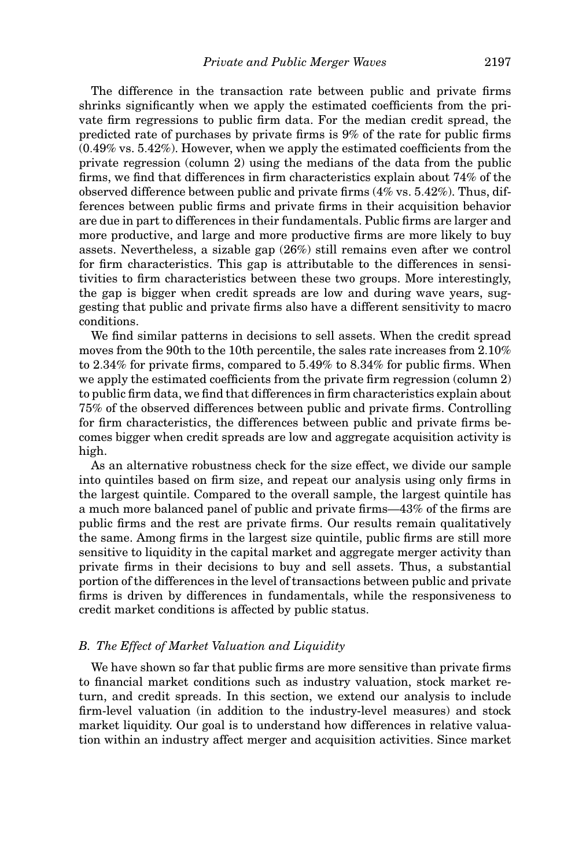The difference in the transaction rate between public and private firms shrinks significantly when we apply the estimated coefficients from the private firm regressions to public firm data. For the median credit spread, the predicted rate of purchases by private firms is 9% of the rate for public firms (0.49% vs. 5.42%). However, when we apply the estimated coefficients from the private regression (column 2) using the medians of the data from the public firms, we find that differences in firm characteristics explain about 74% of the observed difference between public and private firms (4% vs. 5.42%). Thus, differences between public firms and private firms in their acquisition behavior are due in part to differences in their fundamentals. Public firms are larger and more productive, and large and more productive firms are more likely to buy assets. Nevertheless, a sizable gap (26%) still remains even after we control for firm characteristics. This gap is attributable to the differences in sensitivities to firm characteristics between these two groups. More interestingly, the gap is bigger when credit spreads are low and during wave years, suggesting that public and private firms also have a different sensitivity to macro conditions.

We find similar patterns in decisions to sell assets. When the credit spread moves from the 90th to the 10th percentile, the sales rate increases from 2.10% to 2.34% for private firms, compared to 5.49% to 8.34% for public firms. When we apply the estimated coefficients from the private firm regression (column 2) to public firm data, we find that differences in firm characteristics explain about 75% of the observed differences between public and private firms. Controlling for firm characteristics, the differences between public and private firms becomes bigger when credit spreads are low and aggregate acquisition activity is high.

As an alternative robustness check for the size effect, we divide our sample into quintiles based on firm size, and repeat our analysis using only firms in the largest quintile. Compared to the overall sample, the largest quintile has a much more balanced panel of public and private firms—43% of the firms are public firms and the rest are private firms. Our results remain qualitatively the same. Among firms in the largest size quintile, public firms are still more sensitive to liquidity in the capital market and aggregate merger activity than private firms in their decisions to buy and sell assets. Thus, a substantial portion of the differences in the level of transactions between public and private firms is driven by differences in fundamentals, while the responsiveness to credit market conditions is affected by public status.

#### *B. The Effect of Market Valuation and Liquidity*

We have shown so far that public firms are more sensitive than private firms to financial market conditions such as industry valuation, stock market return, and credit spreads. In this section, we extend our analysis to include firm-level valuation (in addition to the industry-level measures) and stock market liquidity. Our goal is to understand how differences in relative valuation within an industry affect merger and acquisition activities. Since market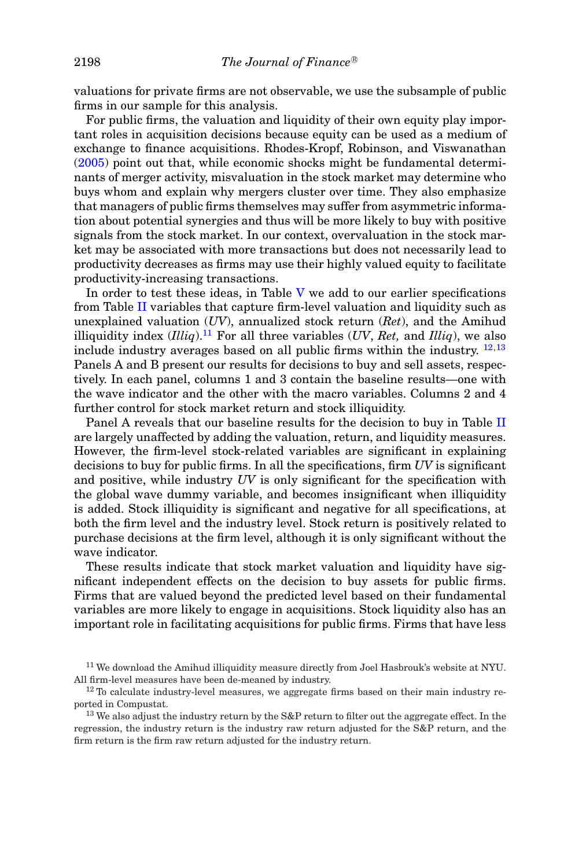valuations for private firms are not observable, we use the subsample of public firms in our sample for this analysis.

For public firms, the valuation and liquidity of their own equity play important roles in acquisition decisions because equity can be used as a medium of exchange to finance acquisitions. Rhodes-Kropf, Robinson, and Viswanathan [\(2005\)](#page-40-4) point out that, while economic shocks might be fundamental determinants of merger activity, misvaluation in the stock market may determine who buys whom and explain why mergers cluster over time. They also emphasize that managers of public firms themselves may suffer from asymmetric information about potential synergies and thus will be more likely to buy with positive signals from the stock market. In our context, overvaluation in the stock market may be associated with more transactions but does not necessarily lead to productivity decreases as firms may use their highly valued equity to facilitate productivity-increasing transactions.

In order to test these ideas, in Table  $V$  we add to our earlier specifications from Table [II](#page-15-0) variables that capture firm-level valuation and liquidity such as unexplained valuation (*UV*), annualized stock return (*Ret*), and the Amihud illiquidity index  $(Illiq).<sup>11</sup>$  $(Illiq).<sup>11</sup>$  $(Illiq).<sup>11</sup>$  For all three variables  $(UV, Ret,$  and  $Illiq)$ , we also include industry averages based on all public firms within the industry.  $12,13$  $12,13$ Panels A and B present our results for decisions to buy and sell assets, respectively. In each panel, columns 1 and 3 contain the baseline results—one with the wave indicator and the other with the macro variables. Columns 2 and 4 further control for stock market return and stock illiquidity.

Panel A reveals that our baseline results for the decision to buy in Table [II](#page-15-0) are largely unaffected by adding the valuation, return, and liquidity measures. However, the firm-level stock-related variables are significant in explaining decisions to buy for public firms. In all the specifications, firm *UV* is significant and positive, while industry *UV* is only significant for the specification with the global wave dummy variable, and becomes insignificant when illiquidity is added. Stock illiquidity is significant and negative for all specifications, at both the firm level and the industry level. Stock return is positively related to purchase decisions at the firm level, although it is only significant without the wave indicator.

These results indicate that stock market valuation and liquidity have significant independent effects on the decision to buy assets for public firms. Firms that are valued beyond the predicted level based on their fundamental variables are more likely to engage in acquisitions. Stock liquidity also has an important role in facilitating acquisitions for public firms. Firms that have less

<span id="page-21-0"></span><sup>&</sup>lt;sup>11</sup> We download the Amihud illiquidity measure directly from Joel Hasbrouk's website at NYU. All firm-level measures have been de-meaned by industry.

<span id="page-21-1"></span> $12$  To calculate industry-level measures, we aggregate firms based on their main industry reported in Compustat.

<span id="page-21-2"></span> $13$  We also adjust the industry return by the S&P return to filter out the aggregate effect. In the regression, the industry return is the industry raw return adjusted for the S&P return, and the firm return is the firm raw return adjusted for the industry return.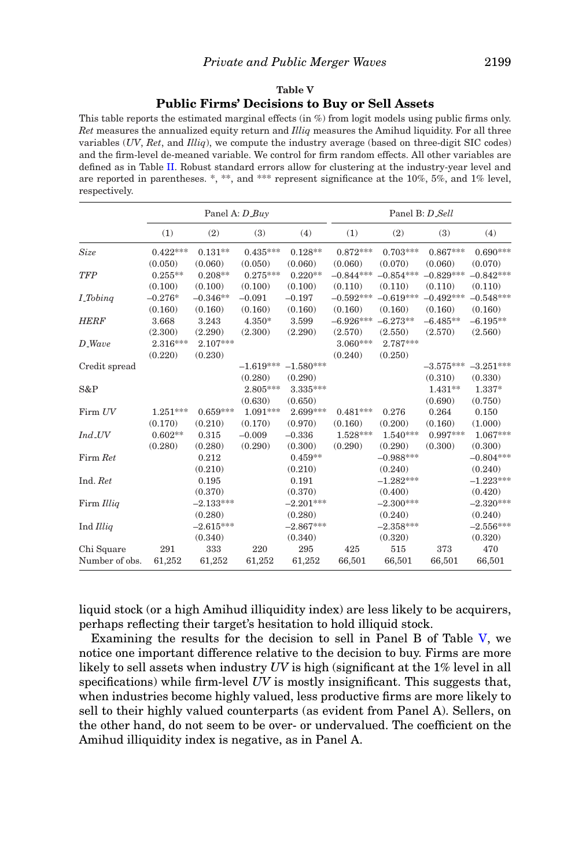#### **Table V**

#### **Public Firms' Decisions to Buy or Sell Assets**

<span id="page-22-0"></span>This table reports the estimated marginal effects (in  $\%$ ) from logit models using public firms only. *Ret* measures the annualized equity return and *Illiq* measures the Amihud liquidity. For all three variables (*UV*, *Ret*, and *Illiq*), we compute the industry average (based on three-digit SIC codes) and the firm-level de-meaned variable. We control for firm random effects. All other variables are defined as in Table [II.](#page-15-0) Robust standard errors allow for clustering at the industry-year level and are reported in parentheses. \*, \*\*, and \*\*\* represent significance at the 10%, 5%, and 1% level, respectively.

|                | Panel A: D_Buy |             |             |             | Panel B: D Sell |             |             |             |
|----------------|----------------|-------------|-------------|-------------|-----------------|-------------|-------------|-------------|
|                | (1)            | (2)         | (3)         | (4)         | (1)             | (2)         | (3)         | (4)         |
| <b>Size</b>    | $0.422***$     | $0.131**$   | $0.435***$  | $0.128**$   | $0.872***$      | $0.703***$  | $0.867***$  | $0.690***$  |
|                | (0.050)        | (0.060)     | (0.050)     | (0.060)     | (0.060)         | (0.070)     | (0.060)     | (0.070)     |
| <b>TFP</b>     | $0.255**$      | $0.208**$   | $0.275***$  | $0.220**$   | $-0.844***$     | $-0.854***$ | $-0.829***$ | $-0.842***$ |
|                | (0.100)        | (0.100)     | (0.100)     | (0.100)     | (0.110)         | (0.110)     | (0.110)     | (0.110)     |
| I_Tobing       | $-0.276*$      | $-0.346**$  | $-0.091$    | $-0.197$    | $-0.592***$     | $-0.619***$ | $-0.492***$ | $-0.548***$ |
|                | (0.160)        | (0.160)     | (0.160)     | (0.160)     | (0.160)         | (0.160)     | (0.160)     | (0.160)     |
| <b>HERF</b>    | 3.668          | 3.243       | $4.350*$    | 3.599       | $-6.926***$     | $-6.273**$  | $-6.485**$  | $-6.195**$  |
|                | (2.300)        | (2.290)     | (2.300)     | (2.290)     | (2.570)         | (2.550)     | (2.570)     | (2.560)     |
| $D_$ Wave      | 2.316***       | 2.107***    |             |             | $3.060***$      | 2.787***    |             |             |
|                | (0.220)        | (0.230)     |             |             | (0.240)         | (0.250)     |             |             |
| Credit spread  |                |             | $-1.619***$ | $-1.580***$ |                 |             | $-3.575***$ | $-3.251***$ |
|                |                |             | (0.280)     | (0.290)     |                 |             | (0.310)     | (0.330)     |
| S&P            |                |             | 2.805***    | 3.335***    |                 |             | $1.431**$   | 1.337*      |
|                |                |             | (0.630)     | (0.650)     |                 |             | (0.690)     | (0.750)     |
| Firm UV        | $1.251***$     | $0.659***$  | $1.091***$  | 2.699***    | $0.481***$      | 0.276       | 0.264       | 0.150       |
|                | (0.170)        | (0.210)     | (0.170)     | (0.970)     | (0.160)         | (0.200)     | (0.160)     | (1.000)     |
| Ind_UV         | $0.602**$      | 0.315       | $-0.009$    | $-0.336$    | $1.528***$      | $1.540***$  | $0.997***$  | 1.067***    |
|                | (0.280)        | (0.280)     | (0.290)     | (0.300)     | (0.290)         | (0.290)     | (0.300)     | (0.300)     |
| Firm Ret       |                | 0.212       |             | $0.459**$   |                 | $-0.988***$ |             | $-0.804***$ |
|                |                | (0.210)     |             | (0.210)     |                 | (0.240)     |             | (0.240)     |
| Ind. Ret       |                | 0.195       |             | 0.191       |                 | $-1.282***$ |             | $-1.223***$ |
|                |                | (0.370)     |             | (0.370)     |                 | (0.400)     |             | (0.420)     |
| Firm Illiq     |                | $-2.133***$ |             | $-2.201***$ |                 | $-2.300***$ |             | $-2.320***$ |
|                |                | (0.280)     |             | (0.280)     |                 | (0.240)     |             | (0.240)     |
| Ind Illiq      |                | $-2.615***$ |             | $-2.867***$ |                 | $-2.358***$ |             | $-2.556***$ |
|                |                | (0.340)     |             | (0.340)     |                 | (0.320)     |             | (0.320)     |
| Chi Square     | 291            | 333         | 220         | 295         | 425             | 515         | 373         | 470         |
| Number of obs. | 61,252         | 61,252      | 61,252      | 61,252      | 66,501          | 66,501      | 66,501      | 66,501      |

liquid stock (or a high Amihud illiquidity index) are less likely to be acquirers, perhaps reflecting their target's hesitation to hold illiquid stock.

Examining the results for the decision to sell in Panel B of Table [V,](#page-22-0) we notice one important difference relative to the decision to buy. Firms are more likely to sell assets when industry *UV* is high (significant at the 1% level in all specifications) while firm-level *UV* is mostly insignificant. This suggests that, when industries become highly valued, less productive firms are more likely to sell to their highly valued counterparts (as evident from Panel A). Sellers, on the other hand, do not seem to be over- or undervalued. The coefficient on the Amihud illiquidity index is negative, as in Panel A.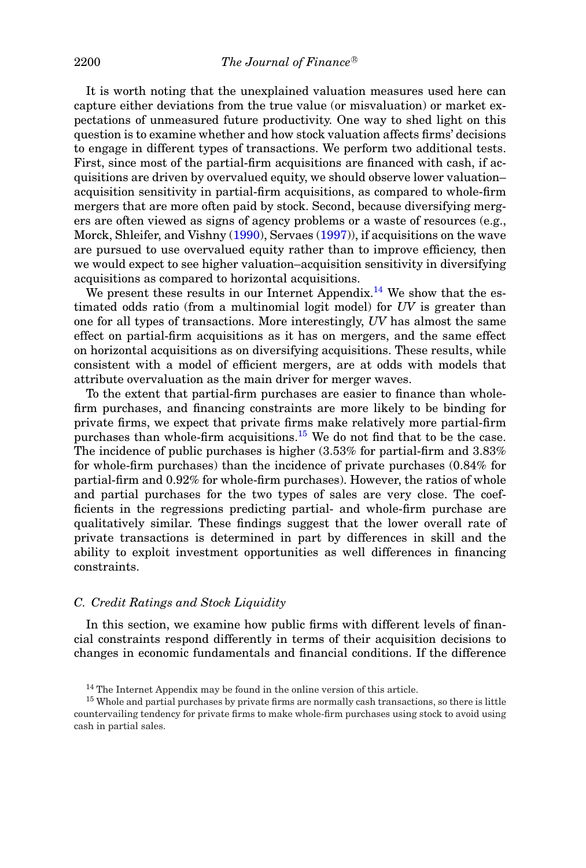It is worth noting that the unexplained valuation measures used here can capture either deviations from the true value (or misvaluation) or market expectations of unmeasured future productivity. One way to shed light on this question is to examine whether and how stock valuation affects firms' decisions to engage in different types of transactions. We perform two additional tests. First, since most of the partial-firm acquisitions are financed with cash, if acquisitions are driven by overvalued equity, we should observe lower valuation– acquisition sensitivity in partial-firm acquisitions, as compared to whole-firm mergers that are more often paid by stock. Second, because diversifying mergers are often viewed as signs of agency problems or a waste of resources (e.g., Morck, Shleifer, and Vishny [\(1990\)](#page-40-11), Servaes [\(1997\)](#page-40-12)), if acquisitions on the wave are pursued to use overvalued equity rather than to improve efficiency, then we would expect to see higher valuation–acquisition sensitivity in diversifying acquisitions as compared to horizontal acquisitions.

We present these results in our Internet Appendix.<sup>14</sup> We show that the estimated odds ratio (from a multinomial logit model) for *UV* is greater than one for all types of transactions. More interestingly, *UV* has almost the same effect on partial-firm acquisitions as it has on mergers, and the same effect on horizontal acquisitions as on diversifying acquisitions. These results, while consistent with a model of efficient mergers, are at odds with models that attribute overvaluation as the main driver for merger waves.

To the extent that partial-firm purchases are easier to finance than wholefirm purchases, and financing constraints are more likely to be binding for private firms, we expect that private firms make relatively more partial-firm purchases than whole-firm acquisitions.<sup>15</sup> We do not find that to be the case. The incidence of public purchases is higher (3.53% for partial-firm and 3.83% for whole-firm purchases) than the incidence of private purchases (0.84% for partial-firm and 0.92% for whole-firm purchases). However, the ratios of whole and partial purchases for the two types of sales are very close. The coefficients in the regressions predicting partial- and whole-firm purchase are qualitatively similar. These findings suggest that the lower overall rate of private transactions is determined in part by differences in skill and the ability to exploit investment opportunities as well differences in financing constraints.

## *C. Credit Ratings and Stock Liquidity*

In this section, we examine how public firms with different levels of financial constraints respond differently in terms of their acquisition decisions to changes in economic fundamentals and financial conditions. If the difference

<span id="page-23-1"></span><span id="page-23-0"></span><sup>&</sup>lt;sup>14</sup> The Internet Appendix may be found in the online version of this article.

<sup>&</sup>lt;sup>15</sup> Whole and partial purchases by private firms are normally cash transactions, so there is little countervailing tendency for private firms to make whole-firm purchases using stock to avoid using cash in partial sales.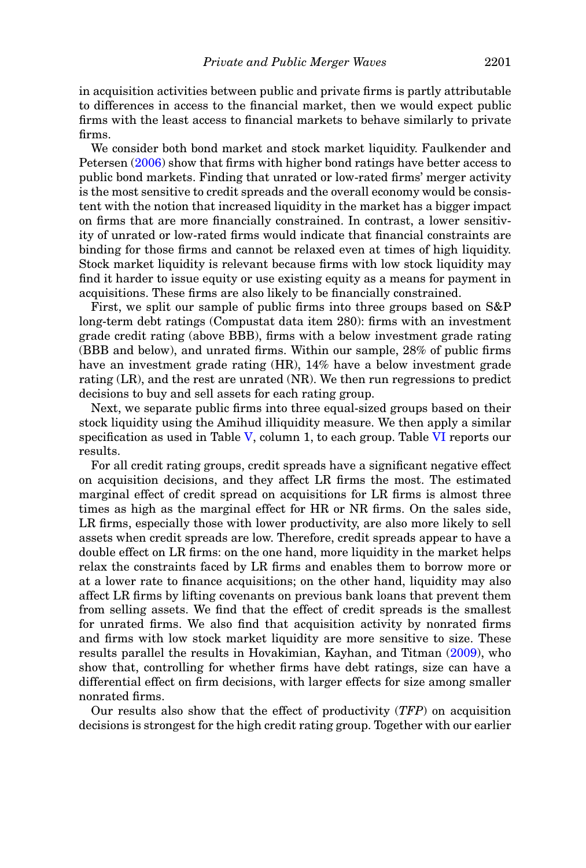in acquisition activities between public and private firms is partly attributable to differences in access to the financial market, then we would expect public firms with the least access to financial markets to behave similarly to private firms.

We consider both bond market and stock market liquidity. Faulkender and Petersen [\(2006\)](#page-39-13) show that firms with higher bond ratings have better access to public bond markets. Finding that unrated or low-rated firms' merger activity is the most sensitive to credit spreads and the overall economy would be consistent with the notion that increased liquidity in the market has a bigger impact on firms that are more financially constrained. In contrast, a lower sensitivity of unrated or low-rated firms would indicate that financial constraints are binding for those firms and cannot be relaxed even at times of high liquidity. Stock market liquidity is relevant because firms with low stock liquidity may find it harder to issue equity or use existing equity as a means for payment in acquisitions. These firms are also likely to be financially constrained.

First, we split our sample of public firms into three groups based on S&P long-term debt ratings (Compustat data item 280): firms with an investment grade credit rating (above BBB), firms with a below investment grade rating (BBB and below), and unrated firms. Within our sample, 28% of public firms have an investment grade rating (HR), 14% have a below investment grade rating (LR), and the rest are unrated (NR). We then run regressions to predict decisions to buy and sell assets for each rating group.

Next, we separate public firms into three equal-sized groups based on their stock liquidity using the Amihud illiquidity measure. We then apply a similar specification as used in Table [V,](#page-22-0) column 1, to each group. Table [VI](#page-25-0) reports our results.

For all credit rating groups, credit spreads have a significant negative effect on acquisition decisions, and they affect LR firms the most. The estimated marginal effect of credit spread on acquisitions for LR firms is almost three times as high as the marginal effect for HR or NR firms. On the sales side, LR firms, especially those with lower productivity, are also more likely to sell assets when credit spreads are low. Therefore, credit spreads appear to have a double effect on LR firms: on the one hand, more liquidity in the market helps relax the constraints faced by LR firms and enables them to borrow more or at a lower rate to finance acquisitions; on the other hand, liquidity may also affect LR firms by lifting covenants on previous bank loans that prevent them from selling assets. We find that the effect of credit spreads is the smallest for unrated firms. We also find that acquisition activity by nonrated firms and firms with low stock market liquidity are more sensitive to size. These results parallel the results in Hovakimian, Kayhan, and Titman [\(2009\)](#page-39-19), who show that, controlling for whether firms have debt ratings, size can have a differential effect on firm decisions, with larger effects for size among smaller nonrated firms.

Our results also show that the effect of productivity (*TFP*) on acquisition decisions is strongest for the high credit rating group. Together with our earlier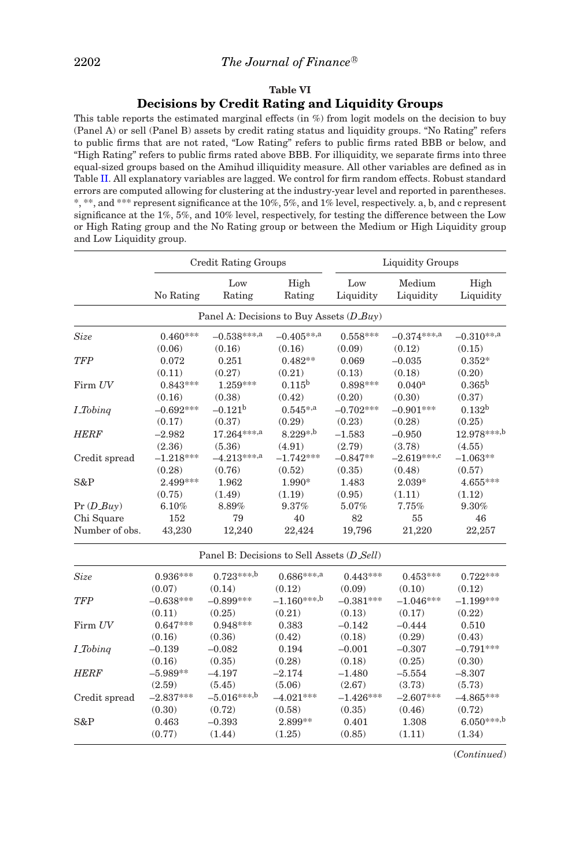# **Table VI Decisions by Credit Rating and Liquidity Groups**

<span id="page-25-0"></span>This table reports the estimated marginal effects (in %) from logit models on the decision to buy (Panel A) or sell (Panel B) assets by credit rating status and liquidity groups. "No Rating" refers to public firms that are not rated, "Low Rating" refers to public firms rated BBB or below, and "High Rating" refers to public firms rated above BBB. For illiquidity, we separate firms into three equal-sized groups based on the Amihud illiquidity measure. All other variables are defined as in Table [II.](#page-15-0) All explanatory variables are lagged. We control for firm random effects. Robust standard errors are computed allowing for clustering at the industry-year level and reported in parentheses. \*, \*\*, and \*\*\* represent significance at the 10%, 5%, and 1% level, respectively. a, b, and c represent significance at the 1%, 5%, and 10% level, respectively, for testing the difference between the Low or High Rating group and the No Rating group or between the Medium or High Liquidity group and Low Liquidity group.

|                |             | <b>Credit Rating Groups</b>                  |                          | <b>Liquidity Groups</b> |                           |                           |
|----------------|-------------|----------------------------------------------|--------------------------|-------------------------|---------------------------|---------------------------|
|                | No Rating   | Low<br>Rating                                | High<br>Rating           | Low<br>Liquidity        | Medium<br>Liquidity       | High<br>Liquidity         |
|                |             | Panel A: Decisions to Buy Assets $(D B u y)$ |                          |                         |                           |                           |
| Size           | $0.460***$  | $-0.538***$ <sup>***</sup>                   | $-0.405***$ <sup>8</sup> | $0.558***$              | $-0.374***$ <sup>**</sup> | $-0.310***$ <sup>**</sup> |
|                | (0.06)      | (0.16)                                       | (0.16)                   | (0.09)                  | (0.12)                    | (0.15)                    |
| <b>TFP</b>     | 0.072       | 0.251                                        | $0.482**$                | 0.069                   | $-0.035$                  | $0.352*$                  |
|                | (0.11)      | (0.27)                                       | (0.21)                   | (0.13)                  | (0.18)                    | (0.20)                    |
| Firm UV        | $0.843***$  | 1.259***                                     | $0.115^{b}$              | $0.898***$              | $0.040^{\rm a}$           | $0.365^{\rm b}$           |
|                | (0.16)      | (0.38)                                       | (0.42)                   | (0.20)                  | (0.30)                    | (0.37)                    |
| I_Tobing       | $-0.692***$ | $-0.121^{\rm b}$                             | $0.545^{*,a}$            | $-0.702***$             | $-0.901***$               | $0.132^{b}$               |
|                | (0.17)      | (0.37)                                       | (0.29)                   | (0.23)                  | (0.28)                    | (0.25)                    |
| <b>HERF</b>    | $-2.982$    | $17.264***$ ,a                               | $8.229^{*,b}$            | $-1.583$                | $-0.950$                  | 12.978***,b               |
|                | (2.36)      | (5.36)                                       | (4.91)                   | (2.79)                  | (3.78)                    | (4.55)                    |
| Credit spread  | $-1.218***$ | $-4.213***$ ,a                               | $-1.742***$              | $-0.847**$              | $-2.619***$               | $-1.063**$                |
|                | (0.28)      | (0.76)                                       | (0.52)                   | (0.35)                  | (0.48)                    | (0.57)                    |
| S&P            | 2.499***    | 1.962                                        | 1.990*                   | 1.483                   | 2.039*                    | 4.655***                  |
|                | (0.75)      | (1.49)                                       | (1.19)                   | (0.95)                  | (1.11)                    | (1.12)                    |
| $Pr(D_Buy)$    | 6.10%       | 8.89%                                        | 9.37%                    | 5.07%                   | 7.75%                     | 9.30%                     |
| Chi Square     | 152         | 79                                           | 40                       | 82                      | 55                        | 46                        |
| Number of obs. | 43,230      | 12,240                                       | 22,424                   | 19,796                  | 21,220                    | 22,257                    |
|                |             | Panel B: Decisions to Sell Assets (D Sell)   |                          |                         |                           |                           |
| Size           | $0.936***$  | $0.723***$ <sup>b</sup>                      | $0.686***$ ,a            | $0.443***$              | $0.453***$                | $0.722***$                |
|                | (0.07)      | (0.14)                                       | (0.12)                   | (0.09)                  | (0.10)                    | (0.12)                    |
| <b>TFP</b>     | $-0.638***$ | $-0.899***$                                  | $-1.160***$              | $-0.381***$             | $-1.046***$               | $-1.199***$               |
|                | (0.11)      | (0.25)                                       | (0.21)                   | (0.13)                  | (0.17)                    | (0.22)                    |
| Firm UV        | $0.647***$  | $0.948***$                                   | 0.383                    | $-0.142$                | $-0.444$                  | 0.510                     |
|                | (0.16)      | (0.36)                                       | (0.42)                   | (0.18)                  | (0.29)                    | (0.43)                    |
| I_Tobing       | $-0.139$    | $-0.082$                                     | 0.194                    | $-0.001$                | $-0.307$                  | $-0.791***$               |
|                | (0.16)      | (0.35)                                       | (0.28)                   | (0.18)                  | (0.25)                    | (0.30)                    |
| <b>HERF</b>    | $-5.989**$  | $-4.197$                                     | $-2.174$                 | $-1.480$                | $-5.554$                  | $-8.307$                  |
|                | (2.59)      | (5.45)                                       | (5.06)                   | (2.67)                  | (3.73)                    | (5.73)                    |
| Credit spread  | $-2.837***$ | $-5.016***$                                  | $-4.021***$              | $-1.426***$             | $-2.607***$               | $-4.865***$               |
|                | (0.30)      | (0.72)                                       | (0.58)                   | (0.35)                  | (0.46)                    | (0.72)                    |
| S&P            | 0.463       | $-0.393$                                     | 2.899**                  | 0.401                   | 1.308                     | $6.050***$ ,b             |
|                | (0.77)      | (1.44)                                       | (1.25)                   | (0.85)                  | (1.11)                    | (1.34)                    |

(*Continued*)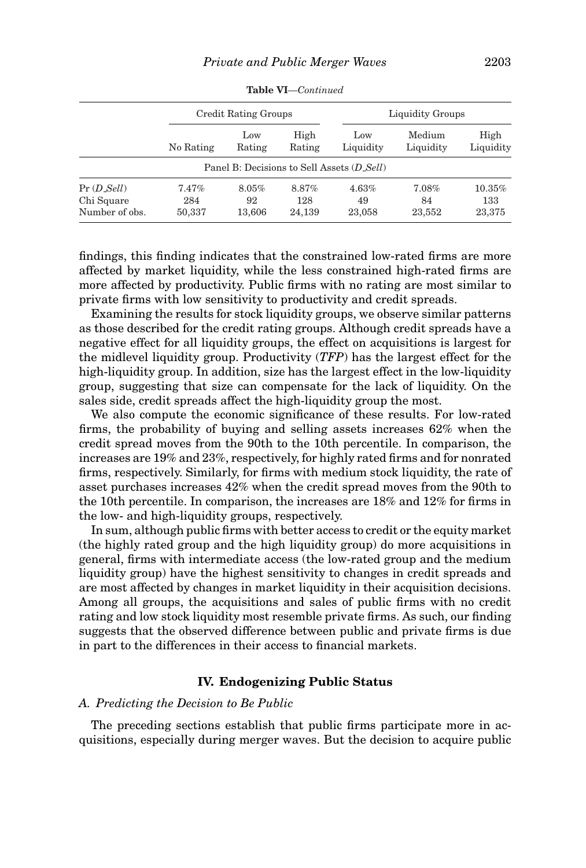|                                               | Credit Rating Groups   |                       |                        |                                            | Liquidity Groups      |                         |  |
|-----------------------------------------------|------------------------|-----------------------|------------------------|--------------------------------------------|-----------------------|-------------------------|--|
|                                               | No Rating              | Low<br>Rating         | High<br>Rating         | Low<br>Liquidity                           | Medium<br>Liquidity   | High<br>Liquidity       |  |
|                                               |                        |                       |                        | Panel B: Decisions to Sell Assets (D.Sell) |                       |                         |  |
| $Pr(D\_Sell)$<br>Chi Square<br>Number of obs. | 7.47%<br>284<br>50,337 | 8.05%<br>92<br>13,606 | 8.87%<br>128<br>24,139 | 4.63%<br>49<br>23,058                      | 7.08%<br>84<br>23,552 | 10.35%<br>133<br>23,375 |  |

**Table VI***—Continued*

findings, this finding indicates that the constrained low-rated firms are more affected by market liquidity, while the less constrained high-rated firms are more affected by productivity. Public firms with no rating are most similar to private firms with low sensitivity to productivity and credit spreads.

Examining the results for stock liquidity groups, we observe similar patterns as those described for the credit rating groups. Although credit spreads have a negative effect for all liquidity groups, the effect on acquisitions is largest for the midlevel liquidity group. Productivity (*TFP*) has the largest effect for the high-liquidity group. In addition, size has the largest effect in the low-liquidity group, suggesting that size can compensate for the lack of liquidity. On the sales side, credit spreads affect the high-liquidity group the most.

We also compute the economic significance of these results. For low-rated firms, the probability of buying and selling assets increases 62% when the credit spread moves from the 90th to the 10th percentile. In comparison, the increases are 19% and 23%, respectively, for highly rated firms and for nonrated firms, respectively. Similarly, for firms with medium stock liquidity, the rate of asset purchases increases 42% when the credit spread moves from the 90th to the 10th percentile. In comparison, the increases are 18% and 12% for firms in the low- and high-liquidity groups, respectively.

In sum, although public firms with better access to credit or the equity market (the highly rated group and the high liquidity group) do more acquisitions in general, firms with intermediate access (the low-rated group and the medium liquidity group) have the highest sensitivity to changes in credit spreads and are most affected by changes in market liquidity in their acquisition decisions. Among all groups, the acquisitions and sales of public firms with no credit rating and low stock liquidity most resemble private firms. As such, our finding suggests that the observed difference between public and private firms is due in part to the differences in their access to financial markets.

## **IV. Endogenizing Public Status**

## <span id="page-26-0"></span>*A. Predicting the Decision to Be Public*

The preceding sections establish that public firms participate more in acquisitions, especially during merger waves. But the decision to acquire public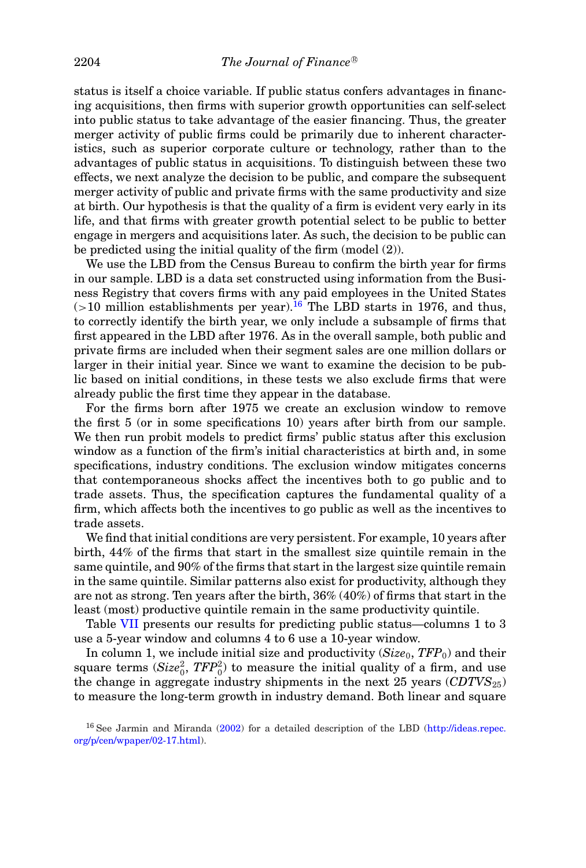status is itself a choice variable. If public status confers advantages in financing acquisitions, then firms with superior growth opportunities can self-select into public status to take advantage of the easier financing. Thus, the greater merger activity of public firms could be primarily due to inherent characteristics, such as superior corporate culture or technology, rather than to the advantages of public status in acquisitions. To distinguish between these two effects, we next analyze the decision to be public, and compare the subsequent merger activity of public and private firms with the same productivity and size at birth. Our hypothesis is that the quality of a firm is evident very early in its life, and that firms with greater growth potential select to be public to better engage in mergers and acquisitions later. As such, the decision to be public can be predicted using the initial quality of the firm (model (2)).

We use the LBD from the Census Bureau to confirm the birth year for firms in our sample. LBD is a data set constructed using information from the Business Registry that covers firms with any paid employees in the United States  $(>10$  million establishments per year).<sup>16</sup> The LBD starts in 1976, and thus, to correctly identify the birth year, we only include a subsample of firms that first appeared in the LBD after 1976. As in the overall sample, both public and private firms are included when their segment sales are one million dollars or larger in their initial year. Since we want to examine the decision to be public based on initial conditions, in these tests we also exclude firms that were already public the first time they appear in the database.

For the firms born after 1975 we create an exclusion window to remove the first 5 (or in some specifications 10) years after birth from our sample. We then run probit models to predict firms' public status after this exclusion window as a function of the firm's initial characteristics at birth and, in some specifications, industry conditions. The exclusion window mitigates concerns that contemporaneous shocks affect the incentives both to go public and to trade assets. Thus, the specification captures the fundamental quality of a firm, which affects both the incentives to go public as well as the incentives to trade assets.

We find that initial conditions are very persistent. For example, 10 years after birth, 44% of the firms that start in the smallest size quintile remain in the same quintile, and 90% of the firms that start in the largest size quintile remain in the same quintile. Similar patterns also exist for productivity, although they are not as strong. Ten years after the birth, 36% (40%) of firms that start in the least (most) productive quintile remain in the same productivity quintile.

Table [VII](#page-28-0) presents our results for predicting public status—columns 1 to 3 use a 5-year window and columns 4 to 6 use a 10-year window.

In column 1, we include initial size and productivity  $(Size_0, TFP_0)$  and their square terms  $(Size_0^2, TFP_0^2)$  to measure the initial quality of a firm, and use the change in aggregate industry shipments in the next 25 years (*CDTVS*25) to measure the long-term growth in industry demand. Both linear and square

<span id="page-27-0"></span><sup>16</sup> See Jarmin and Miranda [\(2002\)](#page-39-20) for a detailed description of the LBD [\(http://ideas.repec.](http://ideas.repec.org/p/cen/wpaper/02-17.html) [org/p/cen/wpaper/02-17.html\)](http://ideas.repec.org/p/cen/wpaper/02-17.html).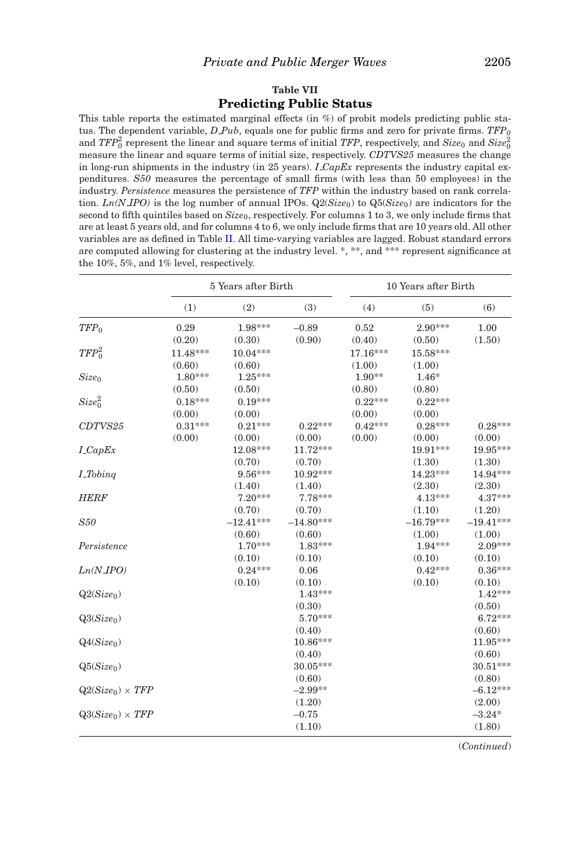# **Table VII Predicting Public Status**

<span id="page-28-0"></span>This table reports the estimated marginal effects (in  $\%$ ) of probit models predicting public status. The dependent variable,  $D$  *Pub*, equals one for public firms and zero for private firms.  $TFP<sub>0</sub>$ and  $TFP_0^2$  represent the linear and square terms of initial  $TFP$ , respectively, and  $Size_0^2$  and  $Size_0^2$ measure the linear and square terms of initial size, respectively. *CDTVS25* measures the change in long-run shipments in the industry (in 25 years). *I CapEx* represents the industry capital expenditures. *S50* measures the percentage of small firms (with less than 50 employees) in the industry. *Persistence* measures the persistence of *TFP* within the industry based on rank correlation. *Ln(N<sub>IPO</sub>*) is the log number of annual IPOs.  $Q2(Size_0)$  to  $Q5(Size_0)$  are indicators for the second to fifth quintiles based on *Size*0, respectively. For columns 1 to 3, we only include firms that are at least 5 years old, and for columns 4 to 6, we only include firms that are 10 years old. All other variables are as defined in Table [II.](#page-15-0) All time-varying variables are lagged. Robust standard errors are computed allowing for clustering at the industry level. \*, \*\*, and \*\*\* represent significance at the 10%, 5%, and 1% level, respectively.

|                                | 5 Years after Birth |             |             | 10 Years after Birth |             |             |  |
|--------------------------------|---------------------|-------------|-------------|----------------------|-------------|-------------|--|
|                                | (1)                 | (2)         | (3)         | (4)                  | (5)         | (6)         |  |
| $TFP_0$                        | 0.29                | 1.98***     | $-0.89$     | 0.52                 | $2.90***$   | 1.00        |  |
|                                | (0.20)              | (0.30)      | (0.90)      | (0.40)               | (0.50)      | (1.50)      |  |
| TFP <sub>0</sub> <sup>2</sup>  | 11.48***            | $10.04***$  |             | 17.16***             | 15.58***    |             |  |
|                                | (0.60)              | (0.60)      |             | (1.00)               | (1.00)      |             |  |
| Size <sub>0</sub>              | $1.80***$           | $1.25***$   |             | $1.90**$             | $1.46*$     |             |  |
|                                | (0.50)              | (0.50)      |             | (0.80)               | (0.80)      |             |  |
| Size <sub>0</sub> <sup>2</sup> | $0.18***$           | $0.19***$   |             | $0.22***$            | $0.22***$   |             |  |
|                                | (0.00)              | (0.00)      |             | (0.00)               | (0.00)      |             |  |
| CDTVS25                        | $0.31***$           | $0.21***$   | $0.22***$   | $0.42***$            | $0.28***$   | $0.28***$   |  |
|                                | (0.00)              | (0.00)      | (0.00)      | (0.00)               | (0.00)      | (0.00)      |  |
| $I_{\mathcal{A}}$              |                     | 12.08***    | $11.72***$  |                      | 19.91***    | 19.95***    |  |
|                                |                     | (0.70)      | (0.70)      |                      | (1.30)      | (1.30)      |  |
| I_Tobing                       |                     | $9.56***$   | $10.92***$  |                      | 14.23***    | 14.94***    |  |
|                                |                     | (1.40)      | (1.40)      |                      | (2.30)      | (2.30)      |  |
| <b>HERF</b>                    |                     | $7.20***$   | $7.78***$   |                      | $4.13***$   | $4.37***$   |  |
|                                |                     | (0.70)      | (0.70)      |                      | (1.10)      | (1.20)      |  |
| S50                            |                     | $-12.41***$ | $-14.80***$ |                      | $-16.79***$ | $-19.41***$ |  |
|                                |                     | (0.60)      | (0.60)      |                      | (1.00)      | (1.00)      |  |
| Persistence                    |                     | $1.70***$   | $1.83***$   |                      | $1.94***$   | 2.09***     |  |
|                                |                     | (0.10)      | (0.10)      |                      | (0.10)      | (0.10)      |  |
| $Ln(N_$                        |                     | $0.24***$   | 0.06        |                      | $0.42***$   | $0.36***$   |  |
|                                |                     | (0.10)      | (0.10)      |                      | (0.10)      | (0.10)      |  |
| $Q2(Size_0)$                   |                     |             | $1.43***$   |                      |             | $1.42***$   |  |
|                                |                     |             | (0.30)      |                      |             | (0.50)      |  |
| $Q3(Size_0)$                   |                     |             | $5.70***$   |                      |             | $6.72***$   |  |
|                                |                     |             | (0.40)      |                      |             | (0.60)      |  |
| $Q4(Size_0)$                   |                     |             | 10.86***    |                      |             | 11.95***    |  |
|                                |                     |             | (0.40)      |                      |             | (0.60)      |  |
| $Q5(Size_0)$                   |                     |             | 30.05***    |                      |             | 30.51***    |  |
|                                |                     |             | (0.60)      |                      |             | (0.80)      |  |
| $Q2(Size_0) \times TFP$        |                     |             | $-2.99**$   |                      |             | $-6.12***$  |  |
|                                |                     |             | (1.20)      |                      |             | (2.00)      |  |
| $Q3(Size_0) \times TFP$        |                     |             | $-0.75$     |                      |             | $-3.24*$    |  |
|                                |                     |             | (1.10)      |                      |             | (1.80)      |  |
|                                |                     |             |             |                      |             |             |  |

(*Continued*)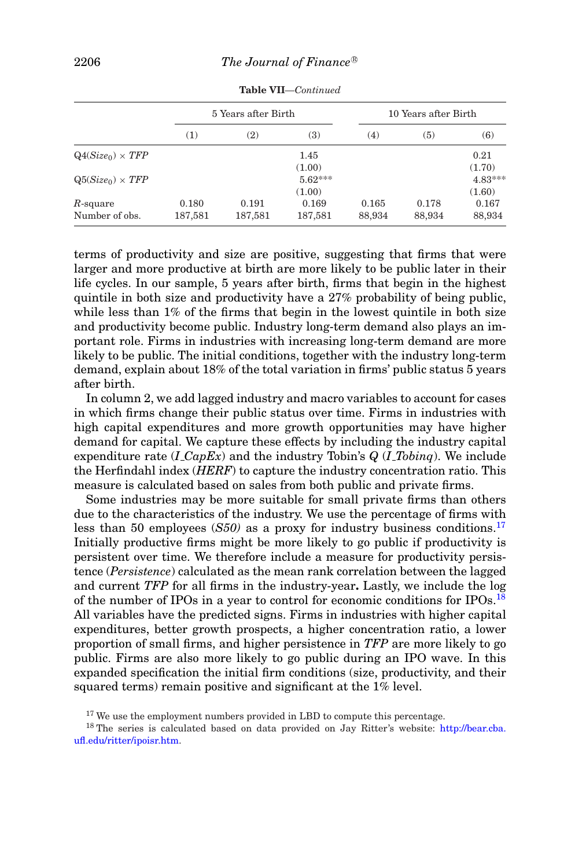|                         |         | 5 Years after Birth |            |        | 10 Years after Birth |         |
|-------------------------|---------|---------------------|------------|--------|----------------------|---------|
|                         | (1)     | (2)                 | <b>(3)</b> | (4)    | (5)                  | (6)     |
| $Q4(Size_0) \times TFP$ |         |                     | 1.45       |        |                      | 0.21    |
|                         |         |                     | (1.00)     |        |                      | (1.70)  |
| $Q5(Size_0) \times TFP$ |         |                     | $5.62***$  |        |                      | 4.83*** |
|                         |         |                     | (1.00)     |        |                      | (1.60)  |
| $R$ -square             | 0.180   | 0.191               | 0.169      | 0.165  | 0.178                | 0.167   |
| Number of obs.          | 187,581 | 187,581             | 187,581    | 88,934 | 88,934               | 88,934  |

**Table VII***—Continued*

terms of productivity and size are positive, suggesting that firms that were larger and more productive at birth are more likely to be public later in their life cycles. In our sample, 5 years after birth, firms that begin in the highest quintile in both size and productivity have a 27% probability of being public, while less than 1% of the firms that begin in the lowest quintile in both size and productivity become public. Industry long-term demand also plays an important role. Firms in industries with increasing long-term demand are more likely to be public. The initial conditions, together with the industry long-term demand, explain about 18% of the total variation in firms' public status 5 years after birth.

In column 2, we add lagged industry and macro variables to account for cases in which firms change their public status over time. Firms in industries with high capital expenditures and more growth opportunities may have higher demand for capital. We capture these effects by including the industry capital expenditure rate (*I CapEx*) and the industry Tobin's *Q* (*I Tobinq*). We include the Herfindahl index (*HERF*) to capture the industry concentration ratio. This measure is calculated based on sales from both public and private firms.

Some industries may be more suitable for small private firms than others due to the characteristics of the industry. We use the percentage of firms with less than 50 employees  $(S50)$  as a proxy for industry business conditions.<sup>17</sup> Initially productive firms might be more likely to go public if productivity is persistent over time. We therefore include a measure for productivity persistence (*Persistence*) calculated as the mean rank correlation between the lagged and current *TFP* for all firms in the industry-year**.** Lastly, we include the log of the number of IPOs in a year to control for economic conditions for IPOs.<sup>[18](#page-29-1)</sup> All variables have the predicted signs. Firms in industries with higher capital expenditures, better growth prospects, a higher concentration ratio, a lower proportion of small firms, and higher persistence in *TFP* are more likely to go public. Firms are also more likely to go public during an IPO wave. In this expanded specification the initial firm conditions (size, productivity, and their squared terms) remain positive and significant at the 1% level.

<span id="page-29-1"></span><span id="page-29-0"></span><sup>&</sup>lt;sup>17</sup> We use the employment numbers provided in LBD to compute this percentage.

<sup>18</sup> The series is calculated based on data provided on Jay Ritter's website: [http://bear.cba.](http://bear.cba.ufl.edu/ritter/ipoisr.htm) [ufl.edu/ritter/ipoisr.htm.](http://bear.cba.ufl.edu/ritter/ipoisr.htm)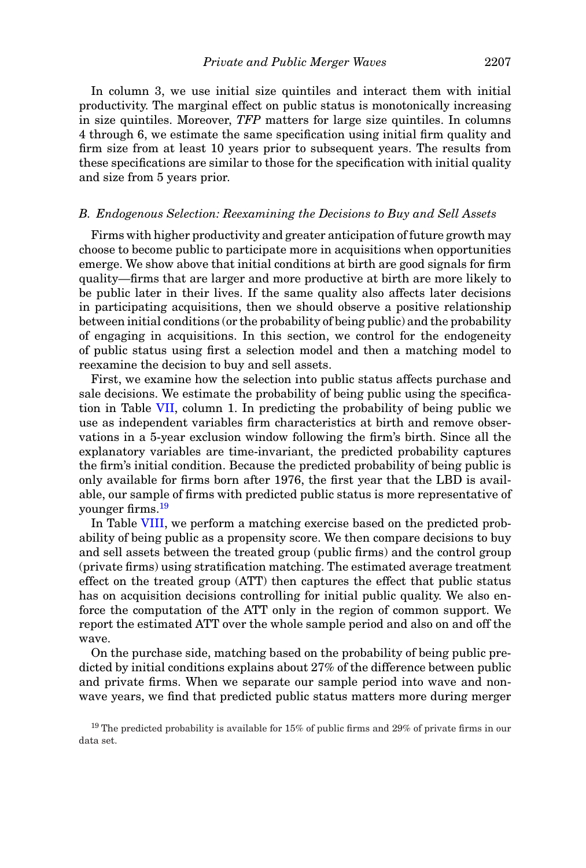In column 3, we use initial size quintiles and interact them with initial productivity. The marginal effect on public status is monotonically increasing in size quintiles. Moreover, *TFP* matters for large size quintiles. In columns 4 through 6, we estimate the same specification using initial firm quality and firm size from at least 10 years prior to subsequent years. The results from these specifications are similar to those for the specification with initial quality and size from 5 years prior.

#### *B. Endogenous Selection: Reexamining the Decisions to Buy and Sell Assets*

Firms with higher productivity and greater anticipation of future growth may choose to become public to participate more in acquisitions when opportunities emerge. We show above that initial conditions at birth are good signals for firm quality—firms that are larger and more productive at birth are more likely to be public later in their lives. If the same quality also affects later decisions in participating acquisitions, then we should observe a positive relationship between initial conditions (or the probability of being public) and the probability of engaging in acquisitions. In this section, we control for the endogeneity of public status using first a selection model and then a matching model to reexamine the decision to buy and sell assets.

First, we examine how the selection into public status affects purchase and sale decisions. We estimate the probability of being public using the specification in Table [VII,](#page-28-0) column 1. In predicting the probability of being public we use as independent variables firm characteristics at birth and remove observations in a 5-year exclusion window following the firm's birth. Since all the explanatory variables are time-invariant, the predicted probability captures the firm's initial condition. Because the predicted probability of being public is only available for firms born after 1976, the first year that the LBD is available, our sample of firms with predicted public status is more representative of younger firms.<sup>[19](#page-30-0)</sup>

In Table [VIII,](#page-31-0) we perform a matching exercise based on the predicted probability of being public as a propensity score. We then compare decisions to buy and sell assets between the treated group (public firms) and the control group (private firms) using stratification matching. The estimated average treatment effect on the treated group (ATT) then captures the effect that public status has on acquisition decisions controlling for initial public quality. We also enforce the computation of the ATT only in the region of common support. We report the estimated ATT over the whole sample period and also on and off the wave.

On the purchase side, matching based on the probability of being public predicted by initial conditions explains about 27% of the difference between public and private firms. When we separate our sample period into wave and nonwave years, we find that predicted public status matters more during merger

<span id="page-30-0"></span><sup>19</sup> The predicted probability is available for 15% of public firms and 29% of private firms in our data set.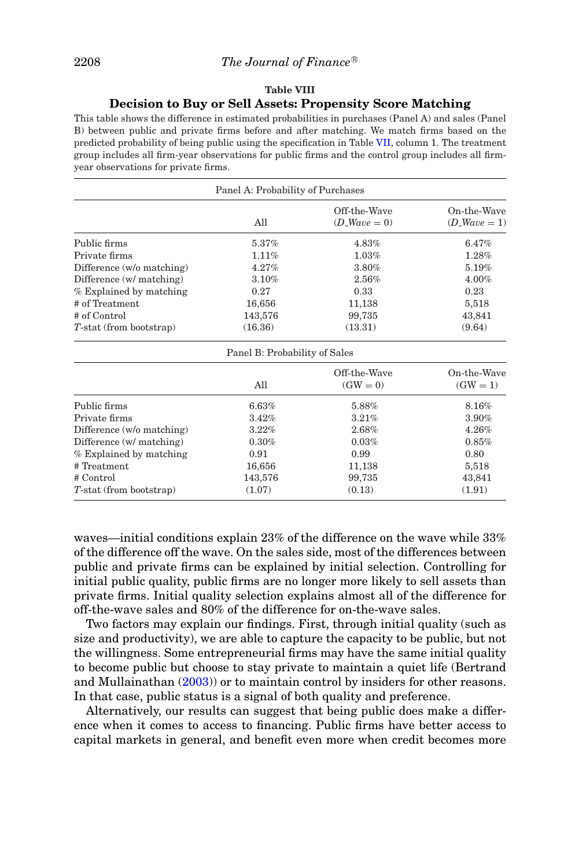#### **Table VIII Decision to Buy or Sell Assets: Propensity Score Matching**

<span id="page-31-0"></span>This table shows the difference in estimated probabilities in purchases (Panel A) and sales (Panel B) between public and private firms before and after matching. We match firms based on the predicted probability of being public using the specification in Table [VII,](#page-28-0) column 1. The treatment group includes all firm-year observations for public firms and the control group includes all firmyear observations for private firms.

|                                    | Panel A: Probability of Purchases |                                          |                                         |  |
|------------------------------------|-----------------------------------|------------------------------------------|-----------------------------------------|--|
|                                    | All                               | Off-the-Wave<br>$(D_$ \textit{Wave} = 0) | On-the-Wave<br>$(D_ \textit{Wave} = 1)$ |  |
| Public firms                       | 5.37%                             | 4.83%                                    | 6.47%                                   |  |
| Private firms                      | 1.11%                             | 1.03%                                    | 1.28%                                   |  |
| Difference (w/o matching)          | 4.27%                             | 3.80%                                    | 5.19%                                   |  |
| Difference (w/ matching)           | 3.10%                             | 2.56%                                    | 4.00%                                   |  |
| % Explained by matching            | 0.27                              | 0.33                                     | 0.23                                    |  |
| # of Treatment<br>16,656           |                                   | 11,138                                   | 5,518                                   |  |
| # of Control                       | 143,576                           | 99,735                                   | 43,841                                  |  |
| $T\text{-stat}$ (from bootstrap)   | (16.36)                           | (13.31)                                  | (9.64)                                  |  |
|                                    | Panel B: Probability of Sales     |                                          |                                         |  |
|                                    |                                   | Off-the-Wave                             | On-the-Wave                             |  |
|                                    | All                               | $(GW = 0)$                               | $(GW = 1)$                              |  |
| Public firms                       | 6.63%                             | 5.88%                                    | 8.16%                                   |  |
| Private firms                      | 3.42%                             | 3.21%                                    | 3.90%                                   |  |
| Difference (w/o matching)<br>3.22% |                                   | 2.68%                                    | 4.26%                                   |  |
| Difference (w/ matching)<br>0.30%  |                                   | 0.03%                                    | 0.85%                                   |  |
| % Explained by matching            | 0.91                              | 0.99                                     | 0.80                                    |  |
| # Treatment                        | 16,656                            | 11,138                                   | 5,518                                   |  |
| # Control                          | 143,576                           | 99,735                                   | 43,841                                  |  |
| $T\text{-stat}$ (from bootstrap)   | (1.07)                            | (0.13)                                   | (1.91)                                  |  |

waves—initial conditions explain 23% of the difference on the wave while 33% of the difference off the wave. On the sales side, most of the differences between public and private firms can be explained by initial selection. Controlling for initial public quality, public firms are no longer more likely to sell assets than private firms. Initial quality selection explains almost all of the difference for off-the-wave sales and 80% of the difference for on-the-wave sales.

Two factors may explain our findings. First, through initial quality (such as size and productivity), we are able to capture the capacity to be public, but not the willingness. Some entrepreneurial firms may have the same initial quality to become public but choose to stay private to maintain a quiet life (Bertrand and Mullainathan [\(2003\)](#page-39-21)) or to maintain control by insiders for other reasons. In that case, public status is a signal of both quality and preference.

Alternatively, our results can suggest that being public does make a difference when it comes to access to financing. Public firms have better access to capital markets in general, and benefit even more when credit becomes more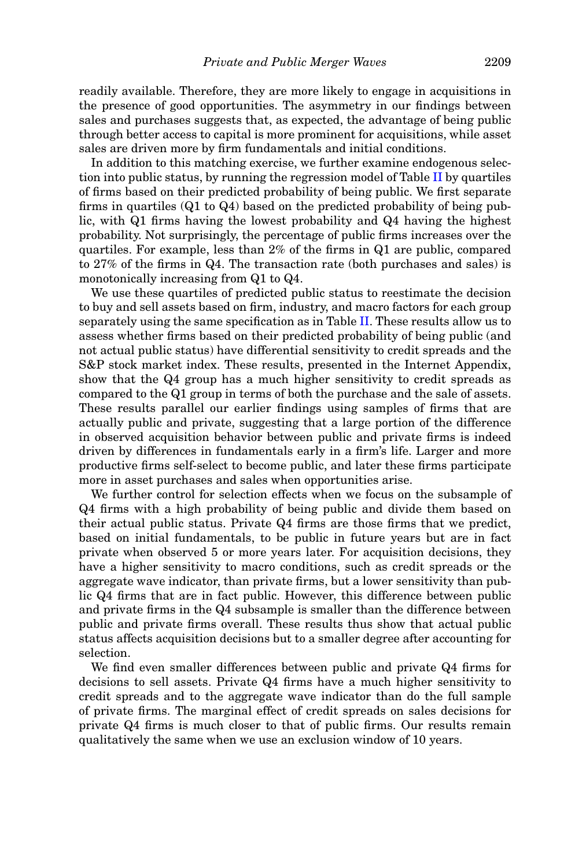readily available. Therefore, they are more likely to engage in acquisitions in the presence of good opportunities. The asymmetry in our findings between sales and purchases suggests that, as expected, the advantage of being public through better access to capital is more prominent for acquisitions, while asset sales are driven more by firm fundamentals and initial conditions.

In addition to this matching exercise, we further examine endogenous selection into public status, by running the regression model of Table [II](#page-15-0) by quartiles of firms based on their predicted probability of being public. We first separate firms in quartiles  $(Q1 \text{ to } Q4)$  based on the predicted probability of being public, with Q1 firms having the lowest probability and Q4 having the highest probability. Not surprisingly, the percentage of public firms increases over the quartiles. For example, less than 2% of the firms in Q1 are public, compared to 27% of the firms in Q4. The transaction rate (both purchases and sales) is monotonically increasing from Q1 to Q4.

We use these quartiles of predicted public status to reestimate the decision to buy and sell assets based on firm, industry, and macro factors for each group separately using the same specification as in Table [II.](#page-15-0) These results allow us to assess whether firms based on their predicted probability of being public (and not actual public status) have differential sensitivity to credit spreads and the S&P stock market index. These results, presented in the Internet Appendix, show that the Q4 group has a much higher sensitivity to credit spreads as compared to the Q1 group in terms of both the purchase and the sale of assets. These results parallel our earlier findings using samples of firms that are actually public and private, suggesting that a large portion of the difference in observed acquisition behavior between public and private firms is indeed driven by differences in fundamentals early in a firm's life. Larger and more productive firms self-select to become public, and later these firms participate more in asset purchases and sales when opportunities arise.

We further control for selection effects when we focus on the subsample of Q4 firms with a high probability of being public and divide them based on their actual public status. Private Q4 firms are those firms that we predict, based on initial fundamentals, to be public in future years but are in fact private when observed 5 or more years later. For acquisition decisions, they have a higher sensitivity to macro conditions, such as credit spreads or the aggregate wave indicator, than private firms, but a lower sensitivity than public Q4 firms that are in fact public. However, this difference between public and private firms in the Q4 subsample is smaller than the difference between public and private firms overall. These results thus show that actual public status affects acquisition decisions but to a smaller degree after accounting for selection.

We find even smaller differences between public and private Q4 firms for decisions to sell assets. Private Q4 firms have a much higher sensitivity to credit spreads and to the aggregate wave indicator than do the full sample of private firms. The marginal effect of credit spreads on sales decisions for private Q4 firms is much closer to that of public firms. Our results remain qualitatively the same when we use an exclusion window of 10 years.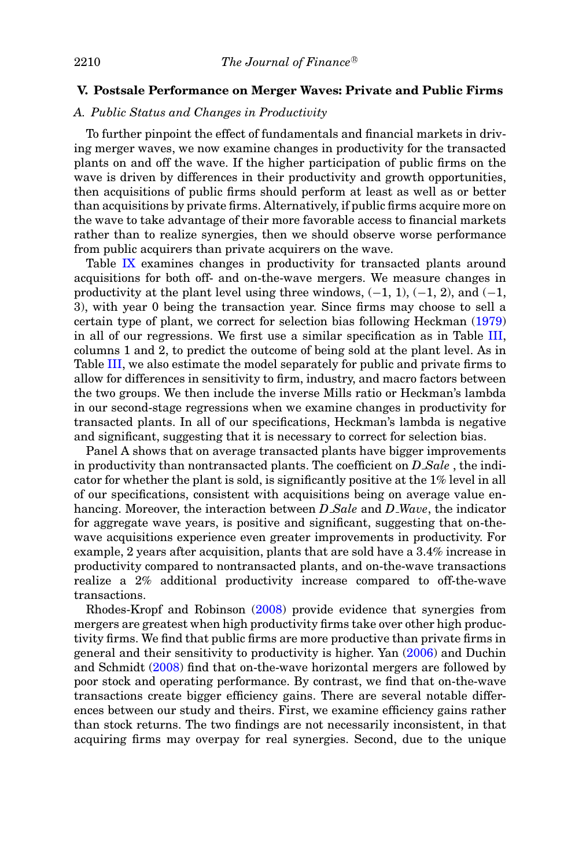#### <span id="page-33-0"></span>**V. Postsale Performance on Merger Waves: Private and Public Firms**

## *A. Public Status and Changes in Productivity*

To further pinpoint the effect of fundamentals and financial markets in driving merger waves, we now examine changes in productivity for the transacted plants on and off the wave. If the higher participation of public firms on the wave is driven by differences in their productivity and growth opportunities, then acquisitions of public firms should perform at least as well as or better than acquisitions by private firms. Alternatively, if public firms acquire more on the wave to take advantage of their more favorable access to financial markets rather than to realize synergies, then we should observe worse performance from public acquirers than private acquirers on the wave.

Table [IX](#page-34-0) examines changes in productivity for transacted plants around acquisitions for both off- and on-the-wave mergers. We measure changes in productivity at the plant level using three windows,  $(-1, 1)$ ,  $(-1, 2)$ , and  $(-1, 1)$ 3), with year 0 being the transaction year. Since firms may choose to sell a certain type of plant, we correct for selection bias following Heckman [\(1979\)](#page-39-22) in all of our regressions. We first use a similar specification as in Table [III,](#page-17-0) columns 1 and 2, to predict the outcome of being sold at the plant level. As in Table [III,](#page-17-0) we also estimate the model separately for public and private firms to allow for differences in sensitivity to firm, industry, and macro factors between the two groups. We then include the inverse Mills ratio or Heckman's lambda in our second-stage regressions when we examine changes in productivity for transacted plants. In all of our specifications, Heckman's lambda is negative and significant, suggesting that it is necessary to correct for selection bias.

Panel A shows that on average transacted plants have bigger improvements in productivity than nontransacted plants. The coefficient on *D Sale* , the indicator for whether the plant is sold, is significantly positive at the 1% level in all of our specifications, consistent with acquisitions being on average value enhancing. Moreover, the interaction between *D Sale* and *D Wave*, the indicator for aggregate wave years, is positive and significant, suggesting that on-thewave acquisitions experience even greater improvements in productivity. For example, 2 years after acquisition, plants that are sold have a 3.4% increase in productivity compared to nontransacted plants, and on-the-wave transactions realize a 2% additional productivity increase compared to off-the-wave transactions.

Rhodes-Kropf and Robinson [\(2008\)](#page-40-13) provide evidence that synergies from mergers are greatest when high productivity firms take over other high productivity firms. We find that public firms are more productive than private firms in general and their sensitivity to productivity is higher. Yan [\(2006\)](#page-40-7) and Duchin and Schmidt [\(2008\)](#page-39-5) find that on-the-wave horizontal mergers are followed by poor stock and operating performance. By contrast, we find that on-the-wave transactions create bigger efficiency gains. There are several notable differences between our study and theirs. First, we examine efficiency gains rather than stock returns. The two findings are not necessarily inconsistent, in that acquiring firms may overpay for real synergies. Second, due to the unique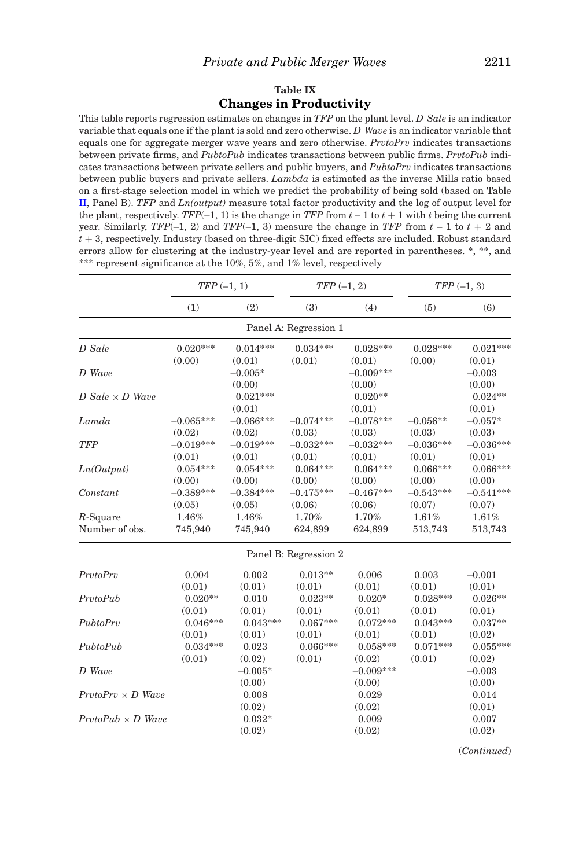# **Table IX Changes in Productivity**

<span id="page-34-0"></span>This table reports regression estimates on changes in *TFP* on the plant level. *D Sale* is an indicator variable that equals one if the plant is sold and zero otherwise. *D Wave* is an indicator variable that equals one for aggregate merger wave years and zero otherwise. *PrvtoPrv* indicates transactions between private firms, and *PubtoPub* indicates transactions between public firms. *PrvtoPub* indicates transactions between private sellers and public buyers, and *PubtoPrv* indicates transactions between public buyers and private sellers. *Lambda* is estimated as the inverse Mills ratio based on a first-stage selection model in which we predict the probability of being sold (based on Table [II,](#page-15-0) Panel B). *TFP* and *Ln(output)* measure total factor productivity and the log of output level for the plant, respectively. *TFP*(-1, 1) is the change in *TFP* from  $t - 1$  to  $t + 1$  with  $t$  being the current year. Similarly,  $TFP(-1, 2)$  and  $TFP(-1, 3)$  measure the change in  $TFP$  from  $t - 1$  to  $t + 2$  and  $t + 3$ , respectively. Industry (based on three-digit SIC) fixed effects are included. Robust standard errors allow for clustering at the industry-year level and are reported in parentheses. \*, \*\*, and \*\*\* represent significance at the 10%, 5%, and 1% level, respectively

|                                       | $TFP(-1, 1)$ |             | $TFP(-1, 2)$          |             | $TFP(-1, 3)$ |             |
|---------------------------------------|--------------|-------------|-----------------------|-------------|--------------|-------------|
|                                       | (1)          | (2)         | (3)                   | (4)         | (5)          | (6)         |
|                                       |              |             | Panel A: Regression 1 |             |              |             |
| D_Sale                                | $0.020***$   | $0.014***$  | $0.034***$            | $0.028***$  | $0.028***$   | $0.021***$  |
|                                       | (0.00)       | (0.01)      | (0.01)                | (0.01)      | (0.00)       | (0.01)      |
| D_Wave                                |              | $-0.005*$   |                       | $-0.009***$ |              | $-0.003$    |
|                                       |              | (0.00)      |                       | (0.00)      |              | (0.00)      |
| $D\_{Sale} \times D\_{Wave}$          |              | $0.021***$  |                       | $0.020**$   |              | $0.024**$   |
|                                       |              | (0.01)      |                       | (0.01)      |              | (0.01)      |
| Lamda                                 | $-0.065***$  | $-0.066***$ | $-0.074***$           | $-0.078***$ | $-0.056**$   | $-0.057*$   |
|                                       | (0.02)       | (0.02)      | (0.03)                | (0.03)      | (0.03)       | (0.03)      |
| <b>TFP</b>                            | $-0.019***$  | $-0.019***$ | $-0.032***$           | $-0.032***$ | $-0.036***$  | $-0.036***$ |
|                                       | (0.01)       | (0.01)      | (0.01)                | (0.01)      | (0.01)       | (0.01)      |
| Ln(Output)                            | $0.054***$   | $0.054***$  | $0.064***$            | $0.064***$  | $0.066***$   | $0.066***$  |
|                                       | (0.00)       | (0.00)      | (0.00)                | (0.00)      | (0.00)       | (0.00)      |
| Constant                              | $-0.389***$  | $-0.384***$ | $-0.475***$           | $-0.467***$ | $-0.543***$  | $-0.541***$ |
|                                       | (0.05)       | (0.05)      | (0.06)                | (0.06)      | (0.07)       | (0.07)      |
| $R$ -Square                           | 1.46%        | 1.46%       | 1.70%                 | 1.70%       | 1.61%        | 1.61%       |
| Number of obs.                        | 745,940      | 745,940     | 624,899               | 624,899     | 513,743      | 513,743     |
|                                       |              |             | Panel B: Regression 2 |             |              |             |
| <b>PrvtoPrv</b>                       | 0.004        | 0.002       | $0.013**$             | 0.006       | 0.003        | $-0.001$    |
|                                       | (0.01)       | (0.01)      | (0.01)                | (0.01)      | (0.01)       | (0.01)      |
| <b>PrvtoPub</b>                       | $0.020**$    | 0.010       | $0.023**$             | $0.020*$    | $0.028***$   | $0.026**$   |
|                                       | (0.01)       | (0.01)      | (0.01)                | (0.01)      | (0.01)       | (0.01)      |
| PubtoPrv                              | $0.046***$   | $0.043***$  | $0.067***$            | $0.072***$  | $0.043***$   | $0.037**$   |
|                                       | (0.01)       | (0.01)      | (0.01)                | (0.01)      | (0.01)       | (0.02)      |
| PubtoPub                              | $0.034***$   | 0.023       | $0.066***$            | $0.058***$  | $0.071***$   | $0.055***$  |
|                                       | (0.01)       | (0.02)      | (0.01)                | (0.02)      | (0.01)       | (0.02)      |
| D_Wave                                |              | $-0.005*$   |                       | $-0.009***$ |              | $-0.003$    |
|                                       |              | (0.00)      |                       | (0.00)      |              | (0.00)      |
| $Prto Prv \times D$ _Wave             |              | 0.008       |                       | 0.029       |              | 0.014       |
|                                       |              | (0.02)      |                       | (0.02)      |              | (0.01)      |
| $PrutoPub \times D$ <sub>-</sub> Wave |              | $0.032*$    |                       | 0.009       |              | 0.007       |
|                                       |              | (0.02)      |                       | (0.02)      |              | (0.02)      |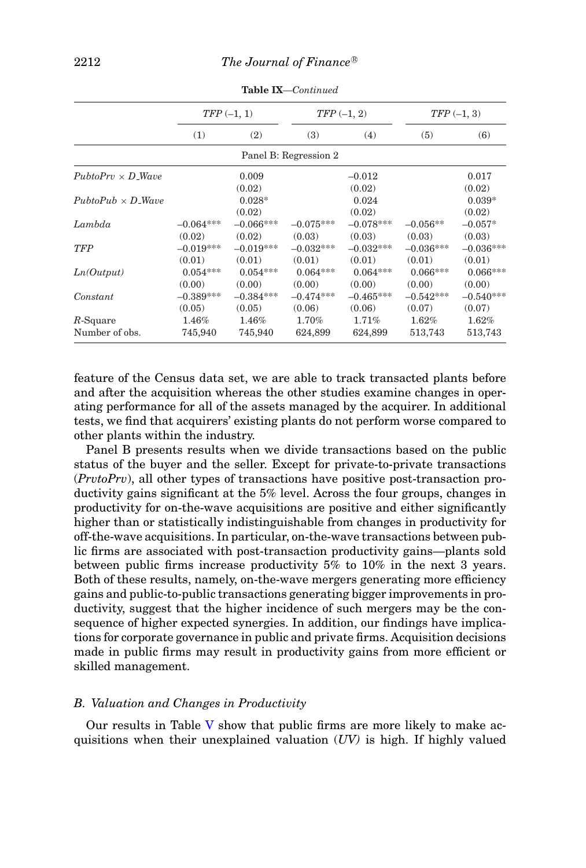|                           | $TFP(-1, 1)$ |                    | $TFP(-1, 2)$          |                    | $TFP(-1, 3)$ |                    |
|---------------------------|--------------|--------------------|-----------------------|--------------------|--------------|--------------------|
|                           | (1)          | (2)                | (3)                   | (4)                | (5)          | (6)                |
|                           |              |                    | Panel B: Regression 2 |                    |              |                    |
| $Puto Prv \times D$ -Wave |              | 0.009<br>(0.02)    |                       | $-0.012$<br>(0.02) |              | 0.017<br>(0.02)    |
| $PutoPub \times D_$       |              | $0.028*$<br>(0.02) |                       | 0.024<br>(0.02)    |              | $0.039*$<br>(0.02) |
| Lambda                    | $-0.064***$  | $-0.066***$        | $-0.075***$           | $-0.078***$        | $-0.056**$   | $-0.057*$          |
|                           | (0.02)       | (0.02)             | (0.03)                | (0.03)             | (0.03)       | (0.03)             |
| <b>TFP</b>                | $-0.019***$  | $-0.019***$        | $-0.032***$           | $-0.032***$        | $-0.036***$  | $-0.036***$        |
|                           | (0.01)       | (0.01)             | (0.01)                | (0.01)             | (0.01)       | (0.01)             |
| Ln(Output)                | $0.054***$   | $0.054***$         | $0.064***$            | $0.064***$         | $0.066***$   | $0.066***$         |
|                           | (0.00)       | (0.00)             | (0.00)                | (0.00)             | (0.00)       | (0.00)             |
| Constant                  | $-0.389***$  | $-0.384***$        | $-0.474***$           | $-0.465***$        | $-0.542***$  | $-0.540***$        |
|                           | (0.05)       | (0.05)             | (0.06)                | (0.06)             | (0.07)       | (0.07)             |
| $R$ -Square               | $1.46\%$     | 1.46%              | $1.70\%$              | 1.71%              | $1.62\%$     | $1.62\%$           |
| Number of obs.            | 745,940      | 745,940            | 624,899               | 624,899            | 513,743      | 513,743            |

**Table IX***—Continued*

feature of the Census data set, we are able to track transacted plants before and after the acquisition whereas the other studies examine changes in operating performance for all of the assets managed by the acquirer. In additional tests, we find that acquirers' existing plants do not perform worse compared to other plants within the industry.

Panel B presents results when we divide transactions based on the public status of the buyer and the seller. Except for private-to-private transactions (*PrvtoPrv*), all other types of transactions have positive post-transaction productivity gains significant at the 5% level. Across the four groups, changes in productivity for on-the-wave acquisitions are positive and either significantly higher than or statistically indistinguishable from changes in productivity for off-the-wave acquisitions. In particular, on-the-wave transactions between public firms are associated with post-transaction productivity gains—plants sold between public firms increase productivity 5% to 10% in the next 3 years. Both of these results, namely, on-the-wave mergers generating more efficiency gains and public-to-public transactions generating bigger improvements in productivity, suggest that the higher incidence of such mergers may be the consequence of higher expected synergies. In addition, our findings have implications for corporate governance in public and private firms. Acquisition decisions made in public firms may result in productivity gains from more efficient or skilled management.

# *B. Valuation and Changes in Productivity*

Our results in Table [V](#page-22-0) show that public firms are more likely to make acquisitions when their unexplained valuation (*UV)* is high. If highly valued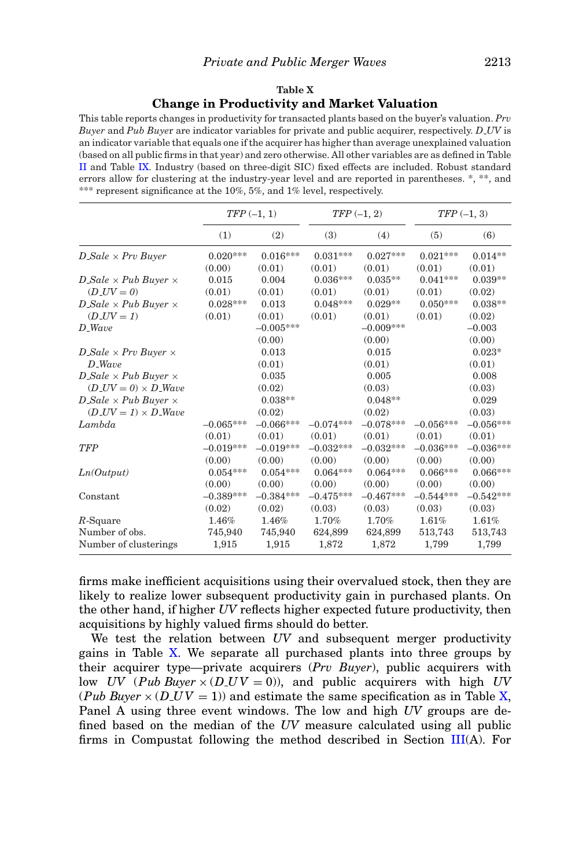#### **Table X Change in Productivity and Market Valuation**

<span id="page-36-0"></span>This table reports changes in productivity for transacted plants based on the buyer's valuation. *Prv Buyer* and *Pub Buye*r are indicator variables for private and public acquirer, respectively. *D UV* is an indicator variable that equals one if the acquirer has higher than average unexplained valuation (based on all public firms in that year) and zero otherwise. All other variables are as defined in Table [II](#page-15-0) and Table [IX.](#page-34-0) Industry (based on three-digit SIC) fixed effects are included. Robust standard errors allow for clustering at the industry-year level and are reported in parentheses. \*, \*\*, and \*\*\* represent significance at the 10%, 5%, and 1% level, respectively.

|                                                       | $TFP(-1, 1)$ |             | $TFP(-1, 2)$ |             | $TFP(-1, 3)$ |             |
|-------------------------------------------------------|--------------|-------------|--------------|-------------|--------------|-------------|
|                                                       | (1)          | (2)         | (3)          | (4)         | (5)          | (6)         |
| $D\_{Sale} \times Prv\ Buyer$                         | $0.020***$   | $0.016***$  | $0.031***$   | $0.027***$  | $0.021***$   | $0.014**$   |
|                                                       | (0.00)       | (0.01)      | (0.01)       | (0.01)      | (0.01)       | (0.01)      |
| $D\_{Sale} \times Pub\, Buyer \times$                 | 0.015        | 0.004       | $0.036***$   | $0.035**$   | $0.041***$   | $0.039**$   |
| $(D_{\text{-}}UV=0)$                                  | (0.01)       | (0.01)      | (0.01)       | (0.01)      | (0.01)       | (0.02)      |
| $D\_{Sale} \times Pub\ Buyer \times$                  | $0.028***$   | 0.013       | $0.048***$   | $0.029**$   | $0.050***$   | $0.038**$   |
| $(D_{\mathcal{L}}UV=1)$                               | (0.01)       | (0.01)      | (0.01)       | (0.01)      | (0.01)       | (0.02)      |
| $D$ _Wave                                             |              | $-0.005***$ |              | $-0.009***$ |              | $-0.003$    |
|                                                       |              | (0.00)      |              | (0.00)      |              | (0.00)      |
| $D-Sale \times Prv Buyer \times$                      |              | 0.013       |              | 0.015       |              | $0.023*$    |
| $D$ Wave                                              |              | (0.01)      |              | (0.01)      |              | (0.01)      |
| $D\_{Sale} \times Pub Buyer \times$                   |              | 0.035       |              | 0.005       |              | 0.008       |
| $(D_{\mathcal{L}}UV = 0) \times D_{\mathcal{L}}W$ ave |              | (0.02)      |              | (0.03)      |              | (0.03)      |
| $D\_{Sale} \times Pub\ Buyer \times$                  |              | $0.038**$   |              | $0.048**$   |              | 0.029       |
| $(D_{\mathcal{L}}UV = 1) \times D_{\mathcal{L}}W$ ave |              | (0.02)      |              | (0.02)      |              | (0.03)      |
| Lambda                                                | $-0.065***$  | $-0.066***$ | $-0.074***$  | $-0.078***$ | $-0.056***$  | $-0.056***$ |
|                                                       | (0.01)       | (0.01)      | (0.01)       | (0.01)      | (0.01)       | (0.01)      |
| <b>TFP</b>                                            | $-0.019***$  | $-0.019***$ | $-0.032***$  | $-0.032***$ | $-0.036***$  | $-0.036***$ |
|                                                       | (0.00)       | (0.00)      | (0.00)       | (0.00)      | (0.00)       | (0.00)      |
| Ln(Output)                                            | $0.054***$   | $0.054***$  | $0.064***$   | $0.064***$  | $0.066***$   | $0.066***$  |
|                                                       | (0.00)       | (0.00)      | (0.00)       | (0.00)      | (0.00)       | (0.00)      |
| Constant                                              | $-0.389***$  | $-0.384***$ | $-0.475***$  | $-0.467***$ | $-0.544***$  | $-0.542***$ |
|                                                       | (0.02)       | (0.02)      | (0.03)       | (0.03)      | (0.03)       | (0.03)      |
| $R$ -Square                                           | 1.46%        | 1.46%       | 1.70%        | 1.70%       | 1.61%        | 1.61%       |
| Number of obs.                                        | 745,940      | 745,940     | 624,899      | 624,899     | 513,743      | 513,743     |
| Number of clusterings                                 | 1,915        | 1,915       | 1,872        | 1,872       | 1,799        | 1,799       |

firms make inefficient acquisitions using their overvalued stock, then they are likely to realize lower subsequent productivity gain in purchased plants. On the other hand, if higher *UV* reflects higher expected future productivity, then acquisitions by highly valued firms should do better.

We test the relation between *UV* and subsequent merger productivity gains in Table [X.](#page-36-0) We separate all purchased plants into three groups by their acquirer type—private acquirers (*Prv Buyer*), public acquirers with low *UV* (*Pub Buyer*  $\times$  (*D\_UV* = 0)), and public acquirers with high *UV* (*Pub Buyer*  $\times$  (*D\_UV* = 1)) and estimate the same specification as in Table [X,](#page-36-0) Panel A using three event windows. The low and high *UV* groups are defined based on the median of the *UV* measure calculated using all public firms in Compustat following the method described in Section  $III(A)$  $III(A)$ . For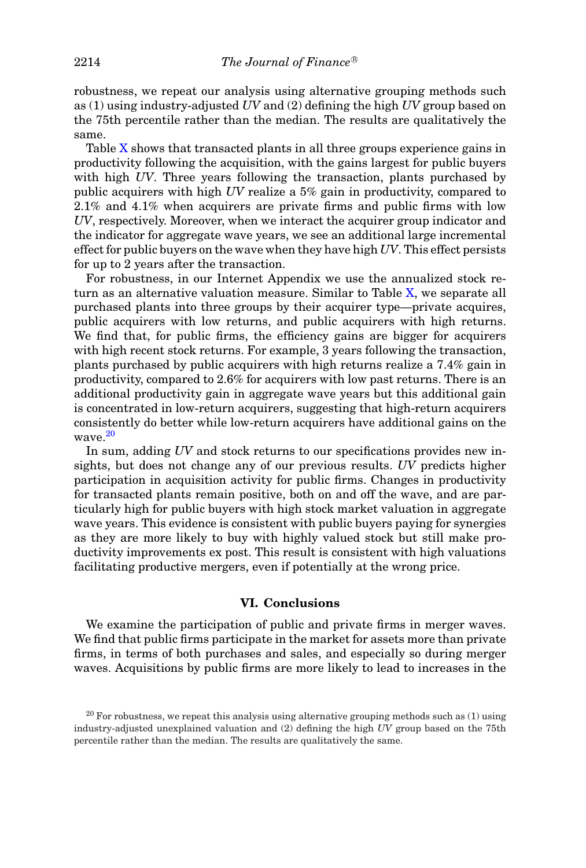robustness, we repeat our analysis using alternative grouping methods such as (1) using industry-adjusted *UV* and (2) defining the high *UV* group based on the 75th percentile rather than the median. The results are qualitatively the same.

Table  $X$  shows that transacted plants in all three groups experience gains in productivity following the acquisition, with the gains largest for public buyers with high *UV*. Three years following the transaction, plants purchased by public acquirers with high *UV* realize a 5% gain in productivity, compared to 2.1% and 4.1% when acquirers are private firms and public firms with low *UV*, respectively. Moreover, when we interact the acquirer group indicator and the indicator for aggregate wave years, we see an additional large incremental effect for public buyers on the wave when they have high *UV*. This effect persists for up to 2 years after the transaction.

For robustness, in our Internet Appendix we use the annualized stock return as an alternative valuation measure. Similar to Table [X,](#page-36-0) we separate all purchased plants into three groups by their acquirer type—private acquires, public acquirers with low returns, and public acquirers with high returns. We find that, for public firms, the efficiency gains are bigger for acquirers with high recent stock returns. For example, 3 years following the transaction, plants purchased by public acquirers with high returns realize a 7.4% gain in productivity, compared to 2.6% for acquirers with low past returns. There is an additional productivity gain in aggregate wave years but this additional gain is concentrated in low-return acquirers, suggesting that high-return acquirers consistently do better while low-return acquirers have additional gains on the wave.[20](#page-37-1)

In sum, adding *UV* and stock returns to our specifications provides new insights, but does not change any of our previous results. *UV* predicts higher participation in acquisition activity for public firms. Changes in productivity for transacted plants remain positive, both on and off the wave, and are particularly high for public buyers with high stock market valuation in aggregate wave years. This evidence is consistent with public buyers paying for synergies as they are more likely to buy with highly valued stock but still make productivity improvements ex post. This result is consistent with high valuations facilitating productive mergers, even if potentially at the wrong price.

# **VI. Conclusions**

<span id="page-37-0"></span>We examine the participation of public and private firms in merger waves. We find that public firms participate in the market for assets more than private firms, in terms of both purchases and sales, and especially so during merger waves. Acquisitions by public firms are more likely to lead to increases in the

<span id="page-37-1"></span> $20$  For robustness, we repeat this analysis using alternative grouping methods such as (1) using industry-adjusted unexplained valuation and (2) defining the high *UV* group based on the 75th percentile rather than the median. The results are qualitatively the same.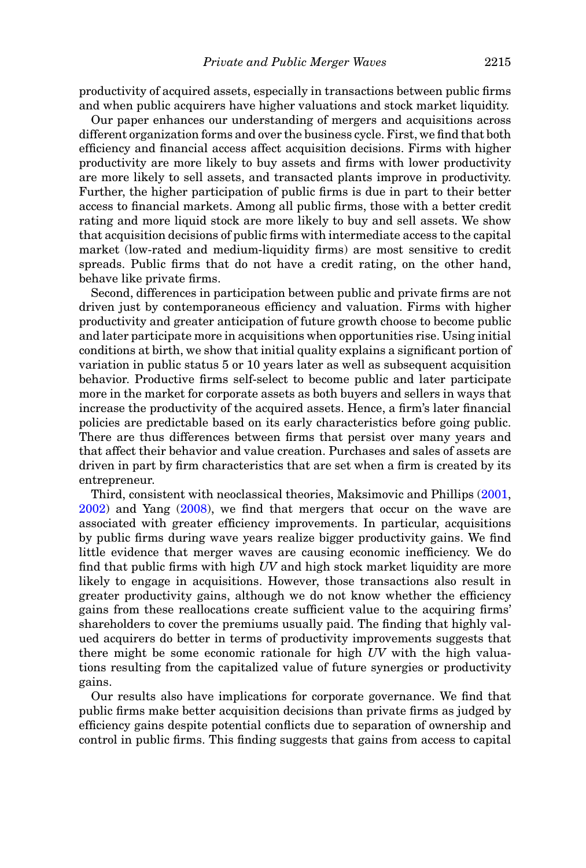productivity of acquired assets, especially in transactions between public firms and when public acquirers have higher valuations and stock market liquidity.

Our paper enhances our understanding of mergers and acquisitions across different organization forms and over the business cycle. First, we find that both efficiency and financial access affect acquisition decisions. Firms with higher productivity are more likely to buy assets and firms with lower productivity are more likely to sell assets, and transacted plants improve in productivity. Further, the higher participation of public firms is due in part to their better access to financial markets. Among all public firms, those with a better credit rating and more liquid stock are more likely to buy and sell assets. We show that acquisition decisions of public firms with intermediate access to the capital market (low-rated and medium-liquidity firms) are most sensitive to credit spreads. Public firms that do not have a credit rating, on the other hand, behave like private firms.

Second, differences in participation between public and private firms are not driven just by contemporaneous efficiency and valuation. Firms with higher productivity and greater anticipation of future growth choose to become public and later participate more in acquisitions when opportunities rise. Using initial conditions at birth, we show that initial quality explains a significant portion of variation in public status 5 or 10 years later as well as subsequent acquisition behavior. Productive firms self-select to become public and later participate more in the market for corporate assets as both buyers and sellers in ways that increase the productivity of the acquired assets. Hence, a firm's later financial policies are predictable based on its early characteristics before going public. There are thus differences between firms that persist over many years and that affect their behavior and value creation. Purchases and sales of assets are driven in part by firm characteristics that are set when a firm is created by its entrepreneur.

Third, consistent with neoclassical theories, Maksimovic and Phillips [\(2001,](#page-39-12) [2002\)](#page-40-8) and Yang [\(2008\)](#page-40-9), we find that mergers that occur on the wave are associated with greater efficiency improvements. In particular, acquisitions by public firms during wave years realize bigger productivity gains. We find little evidence that merger waves are causing economic inefficiency. We do find that public firms with high *UV* and high stock market liquidity are more likely to engage in acquisitions. However, those transactions also result in greater productivity gains, although we do not know whether the efficiency gains from these reallocations create sufficient value to the acquiring firms' shareholders to cover the premiums usually paid. The finding that highly valued acquirers do better in terms of productivity improvements suggests that there might be some economic rationale for high *UV* with the high valuations resulting from the capitalized value of future synergies or productivity gains.

Our results also have implications for corporate governance. We find that public firms make better acquisition decisions than private firms as judged by efficiency gains despite potential conflicts due to separation of ownership and control in public firms. This finding suggests that gains from access to capital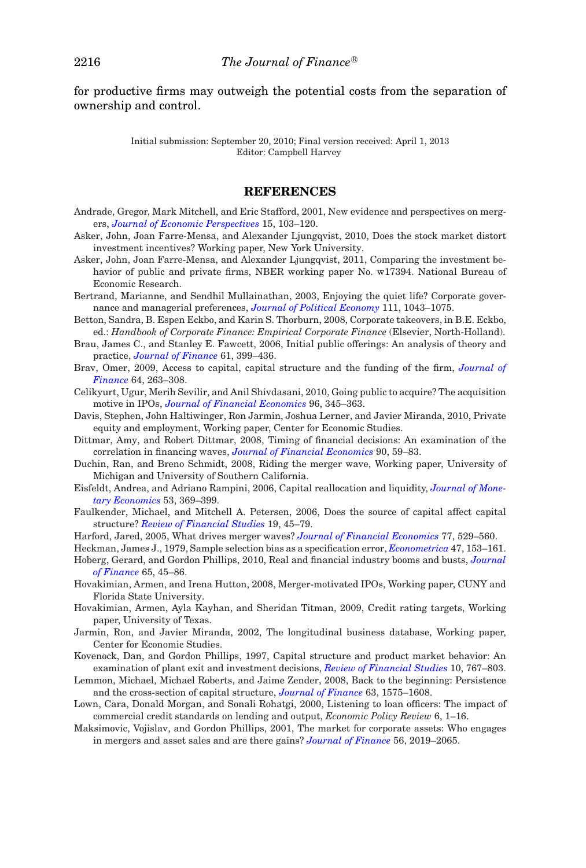for productive firms may outweigh the potential costs from the separation of ownership and control.

> Initial submission: September 20, 2010; Final version received: April 1, 2013 Editor: Campbell Harvey

## **REFERENCES**

- <span id="page-39-1"></span>Andrade, Gregor, Mark Mitchell, and Eric Stafford, 2001, New evidence and perspectives on mergers, *[Journal of Economic Perspectives](http://dx.doi.org/10.1257/jep.15.2.103)* 15, 103–120.
- <span id="page-39-10"></span>Asker, John, Joan Farre-Mensa, and Alexander Ljungqvist, 2010, Does the stock market distort investment incentives? Working paper, New York University.
- <span id="page-39-11"></span>Asker, John, Joan Farre-Mensa, and Alexander Ljungqvist, 2011, Comparing the investment behavior of public and private firms, NBER working paper No. w17394. National Bureau of Economic Research.
- <span id="page-39-21"></span>Bertrand, Marianne, and Sendhil Mullainathan, 2003, Enjoying the quiet life? Corporate governance and managerial preferences, *[Journal of Political Economy](http://dx.doi.org/10.1086/376950)* 111, 1043–1075.
- <span id="page-39-2"></span>Betton, Sandra, B. Espen Eckbo, and Karin S. Thorburn, 2008, Corporate takeovers, in B.E. Eckbo, ed.: *Handbook of Corporate Finance: Empirical Corporate Finance* (Elsevier, North-Holland).
- <span id="page-39-6"></span>Brau, James C., and Stanley E. Fawcett, 2006, Initial public offerings: An analysis of theory and practice, *[Journal of Finance](http://dx.doi.org/10.1111/j.1540-6261.2006.00840.x)* 61, 399–436.
- <span id="page-39-9"></span>Brav, Omer, 2009, Access to capital, capital structure and the funding of the firm, *[Journal of](http://dx.doi.org/10.1111/j.1540-6261.2008.01434.x) [Finance](http://dx.doi.org/10.1111/j.1540-6261.2008.01434.x)* 64, 263–308.
- <span id="page-39-8"></span>Celikyurt, Ugur, Merih Sevilir, and Anil Shivdasani, 2010, Going public to acquire? The acquisition motive in IPOs, *[Journal of Financial Economics](http://dx.doi.org/10.1016/j.jfineco.2010.03.003)* 96, 345–363.
- <span id="page-39-17"></span>Davis, Stephen, John Haltiwinger, Ron Jarmin, Joshua Lerner, and Javier Miranda, 2010, Private equity and employment, Working paper, Center for Economic Studies.
- <span id="page-39-3"></span>Dittmar, Amy, and Robert Dittmar, 2008, Timing of financial decisions: An examination of the correlation in financing waves, *[Journal of Financial Economics](http://dx.doi.org/10.1016/j.jfineco.2007.11.007)* 90, 59–83.
- <span id="page-39-5"></span>Duchin, Ran, and Breno Schmidt, 2008, Riding the merger wave, Working paper, University of Michigan and University of Southern California.
- <span id="page-39-4"></span>Eisfeldt, Andrea, and Adriano Rampini, 2006, Capital reallocation and liquidity, *[Journal of Mone](http://dx.doi.org/10.1016/j.jmoneco.2005.04.006)[tary Economics](http://dx.doi.org/10.1016/j.jmoneco.2005.04.006)* 53, 369–399.
- <span id="page-39-13"></span>Faulkender, Michael, and Mitchell A. Petersen, 2006, Does the source of capital affect capital structure? *[Review of Financial Studies](http://dx.doi.org/10.1093/rfs/hhj003)* 19, 45–79.
- <span id="page-39-0"></span>Harford, Jared, 2005, What drives merger waves? *[Journal of Financial Economics](http://dx.doi.org/10.1016/j.jfineco.2004.05.004)* 77, 529–560.
- <span id="page-39-22"></span>Heckman, James J., 1979, Sample selection bias as a specification error, *[Econometrica](http://dx.doi.org/10.2307/1912352)* 47, 153–161.
- <span id="page-39-18"></span>Hoberg, Gerard, and Gordon Phillips, 2010, Real and financial industry booms and busts, *[Journal](http://dx.doi.org/10.1111/j.1540-6261.2009.01523.x) [of Finance](http://dx.doi.org/10.1111/j.1540-6261.2009.01523.x)* 65, 45–86.
- <span id="page-39-7"></span>Hovakimian, Armen, and Irena Hutton, 2008, Merger-motivated IPOs, Working paper, CUNY and Florida State University.
- <span id="page-39-19"></span>Hovakimian, Armen, Ayla Kayhan, and Sheridan Titman, 2009, Credit rating targets, Working paper, University of Texas.
- <span id="page-39-20"></span>Jarmin, Ron, and Javier Miranda, 2002, The longitudinal business database, Working paper, Center for Economic Studies.
- <span id="page-39-15"></span>Kovenock, Dan, and Gordon Phillips, 1997, Capital structure and product market behavior: An examination of plant exit and investment decisions, *[Review of Financial Studies](http://dx.doi.org/10.1093/rfs/10.3.767)* 10, 767–803.
- <span id="page-39-14"></span>Lemmon, Michael, Michael Roberts, and Jaime Zender, 2008, Back to the beginning: Persistence and the cross-section of capital structure, *[Journal of Finance](http://dx.doi.org/10.1111/j.1540-6261.2008.01369.x)* 63, 1575–1608.
- <span id="page-39-16"></span>Lown, Cara, Donald Morgan, and Sonali Rohatgi, 2000, Listening to loan officers: The impact of commercial credit standards on lending and output, *Economic Policy Review* 6, 1–16.
- <span id="page-39-12"></span>Maksimovic, Vojislav, and Gordon Phillips, 2001, The market for corporate assets: Who engages in mergers and asset sales and are there gains? *[Journal of Finance](http://dx.doi.org/10.1111/0022-1082.00398)* 56, 2019–2065.